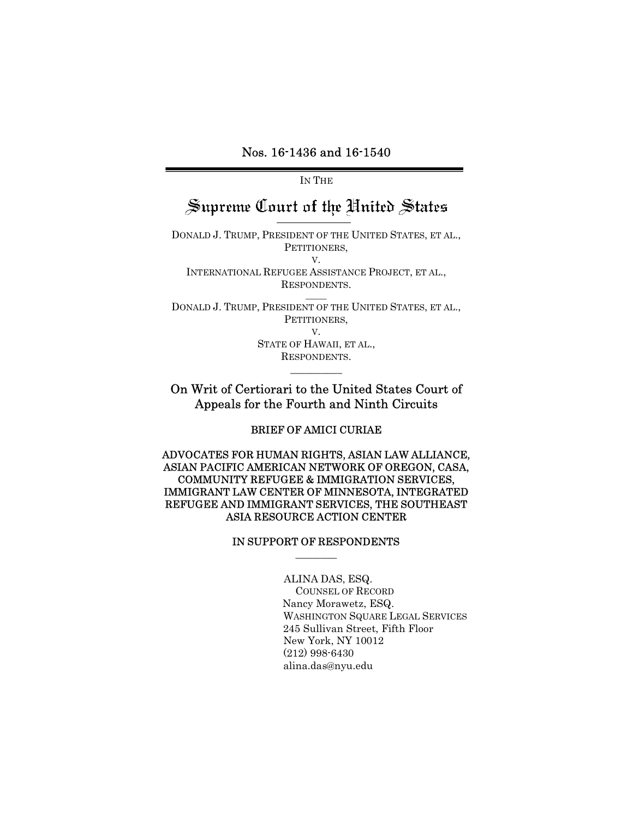### Nos. 16-1436 and 16-1540

IN THE

# Supreme Court of the United States

DONALD J. TRUMP, PRESIDENT OF THE UNITED STATES, ET AL., PETITIONERS, V. INTERNATIONAL REFUGEE ASSISTANCE PROJECT, ET AL.,

RESPONDENTS.  $\overline{\phantom{a}}$ DONALD J. TRUMP, PRESIDENT OF THE UNITED STATES, ET AL.,

PETITIONERS,

V. STATE OF HAWAII, ET AL., RESPONDENTS.

### On Writ of Certiorari to the United States Court of Appeals for the Fourth and Ninth Circuits

 $\overline{\phantom{a}}$ 

BRIEF OF AMICI CURIAE

ADVOCATES FOR HUMAN RIGHTS, ASIAN LAW ALLIANCE, ASIAN PACIFIC AMERICAN NETWORK OF OREGON, CASA, COMMUNITY REFUGEE & IMMIGRATION SERVICES, IMMIGRANT LAW CENTER OF MINNESOTA, INTEGRATED REFUGEE AND IMMIGRANT SERVICES, THE SOUTHEAST ASIA RESOURCE ACTION CENTER

#### IN SUPPORT OF RESPONDENTS  $\overline{\phantom{a}}$

ALINA DAS, ESQ. COUNSEL OF RECORD Nancy Morawetz, ESQ. WASHINGTON SQUARE LEGAL SERVICES 245 Sullivan Street, Fifth Floor New York, NY 10012 (212) 998-6430 alina.das@nyu.edu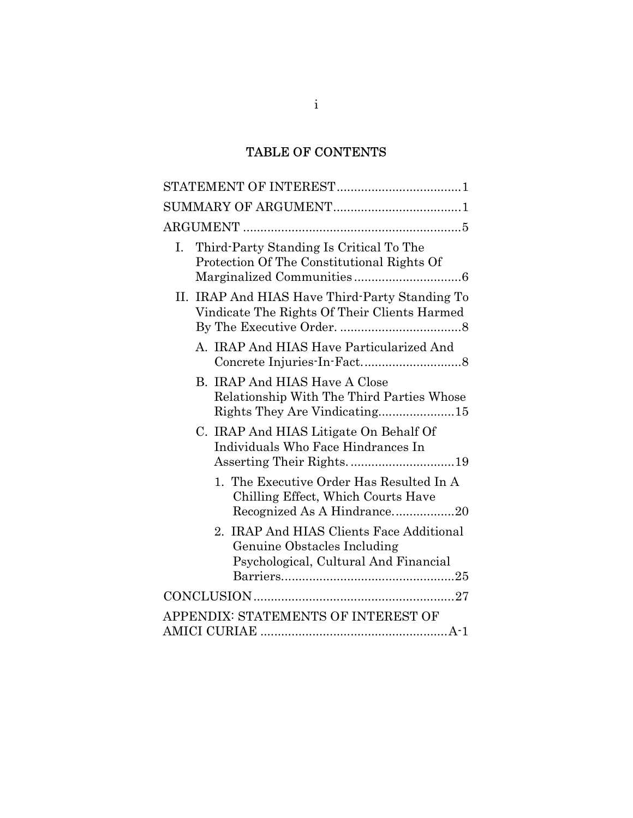# TABLE OF CONTENTS

| Third-Party Standing Is Critical To The<br>I.<br>Protection Of The Constitutional Rights Of                        |
|--------------------------------------------------------------------------------------------------------------------|
| II. IRAP And HIAS Have Third-Party Standing To<br>Vindicate The Rights Of Their Clients Harmed                     |
| A. IRAP And HIAS Have Particularized And                                                                           |
| <b>B. IRAP And HIAS Have A Close</b><br>Relationship With The Third Parties Whose<br>Rights They Are Vindicating15 |
| C. IRAP And HIAS Litigate On Behalf Of<br>Individuals Who Face Hindrances In<br>Asserting Their Rights. 19         |
| 1. The Executive Order Has Resulted In A<br>Chilling Effect, Which Courts Have<br>Recognized As A Hindrance20      |
| 2. IRAP And HIAS Clients Face Additional<br>Genuine Obstacles Including<br>Psychological, Cultural And Financial   |
|                                                                                                                    |
| APPENDIX: STATEMENTS OF INTEREST OF                                                                                |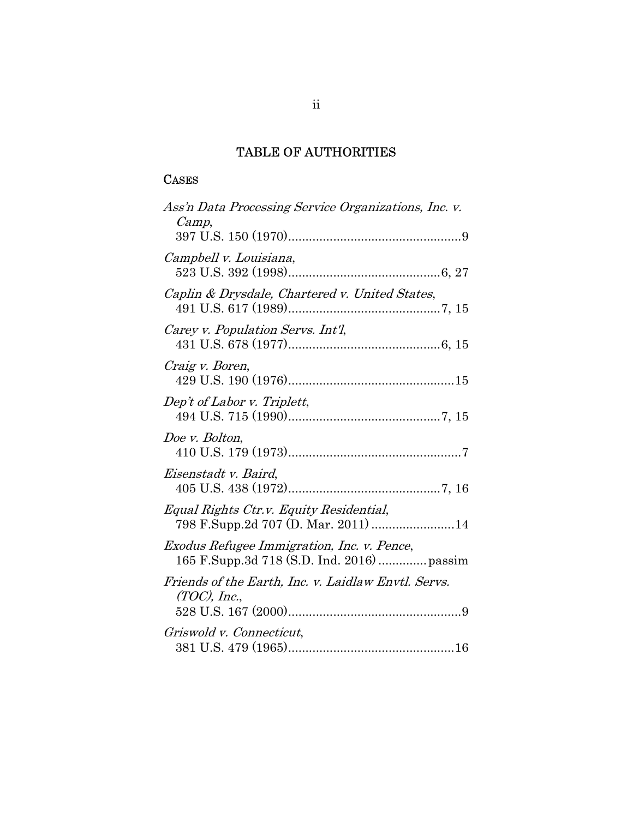## TABLE OF AUTHORITIES

### **CASES**

| Ass'n Data Processing Service Organizations, Inc. v.                                     |
|------------------------------------------------------------------------------------------|
| Camp,                                                                                    |
| Campbell v. Louisiana,                                                                   |
| Caplin & Drysdale, Chartered v. United States,                                           |
| Carey v. Population Servs. Int'l.                                                        |
| Craig v. Boren,                                                                          |
| Dep't of Labor v. Triplett,                                                              |
| Doe v. Bolton,                                                                           |
| Eisenstadt v. Baird,                                                                     |
| Equal Rights Ctr.v. Equity Residential,<br>798 F.Supp.2d 707 (D. Mar. 2011) 14           |
| Exodus Refugee Immigration, Inc. v. Pence,<br>165 F.Supp.3d 718 (S.D. Ind. 2016)  passim |
| Friends of the Earth, Inc. v. Laidlaw Envtl. Servs.<br>$(TOC)$ , Inc.,                   |
| Griswold v. Connecticut,                                                                 |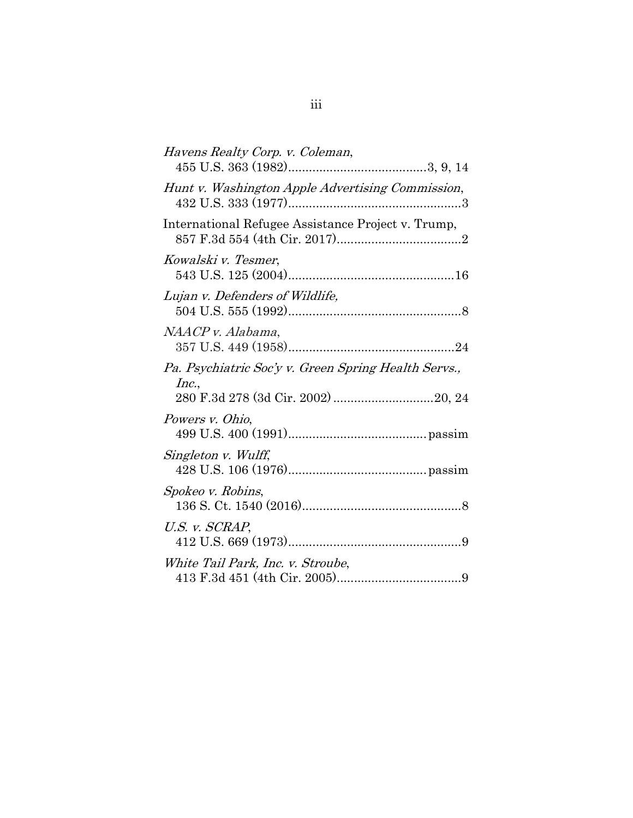| Havens Realty Corp. v. Coleman,                               |
|---------------------------------------------------------------|
| Hunt v. Washington Apple Advertising Commission,              |
| International Refugee Assistance Project v. Trump,            |
| Kowalski v. Tesmer,                                           |
| Lujan v. Defenders of Wildlife,                               |
| NAACP v. Alabama,                                             |
| Pa. Psychiatric Soc'y v. Green Spring Health Servs.,<br>Inc., |
| Powers v. Ohio,                                               |
| Singleton v. Wulff,                                           |
| Spokeo v. Robins,                                             |
| U.S. v. SCRAP,                                                |
| White Tail Park, Inc. v. Stroube,                             |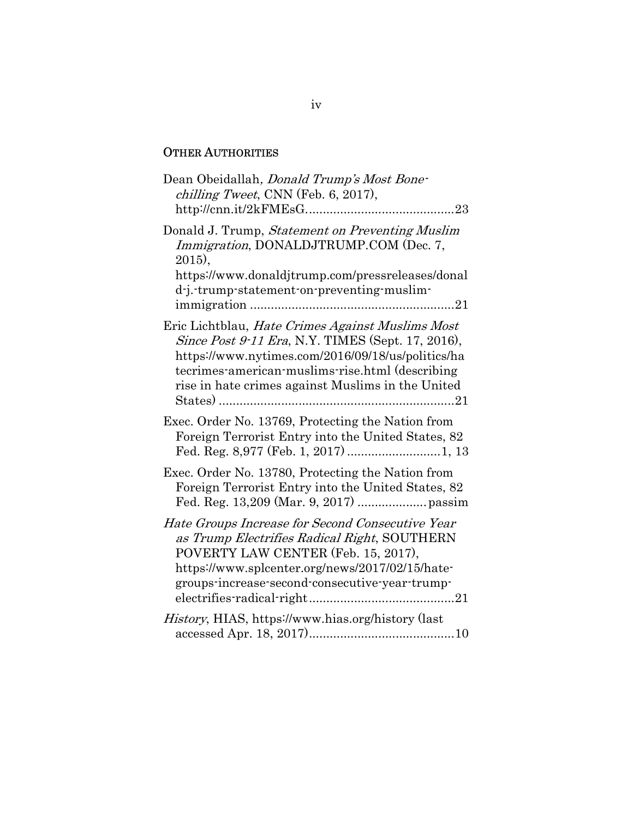### OTHER AUTHORITIES

| Dean Obeidallah, <i>Donald Trump's Most Bone-</i><br>chilling Tweet, CNN (Feb. 6, 2017),                                                                                                                                                                           |
|--------------------------------------------------------------------------------------------------------------------------------------------------------------------------------------------------------------------------------------------------------------------|
| Donald J. Trump, Statement on Preventing Muslim<br><i>Immigration</i> , DONALDJTRUMP.COM (Dec. 7,<br>$2015$ ,<br>https://www.donaldjtrump.com/pressreleases/donal<br>d-j.-trump-statement-on-preventing-muslim-                                                    |
| Eric Lichtblau, Hate Crimes Against Muslims Most<br>Since Post 9-11 Era, N.Y. TIMES (Sept. 17, 2016),<br>https://www.nytimes.com/2016/09/18/us/politics/ha<br>tecrimes-american-muslims-rise.html (describing<br>rise in hate crimes against Muslims in the United |
| Exec. Order No. 13769, Protecting the Nation from<br>Foreign Terrorist Entry into the United States, 82                                                                                                                                                            |
| Exec. Order No. 13780, Protecting the Nation from<br>Foreign Terrorist Entry into the United States, 82                                                                                                                                                            |
| Hate Groups Increase for Second Consecutive Year<br>as Trump Electrifies Radical Right, SOUTHERN<br>POVERTY LAW CENTER (Feb. 15, 2017),<br>https://www.splcenter.org/news/2017/02/15/hate-<br>groups-increase-second-consecutive-year-trump-                       |
| <i>History</i> , HIAS, https://www.hias.org/history (last                                                                                                                                                                                                          |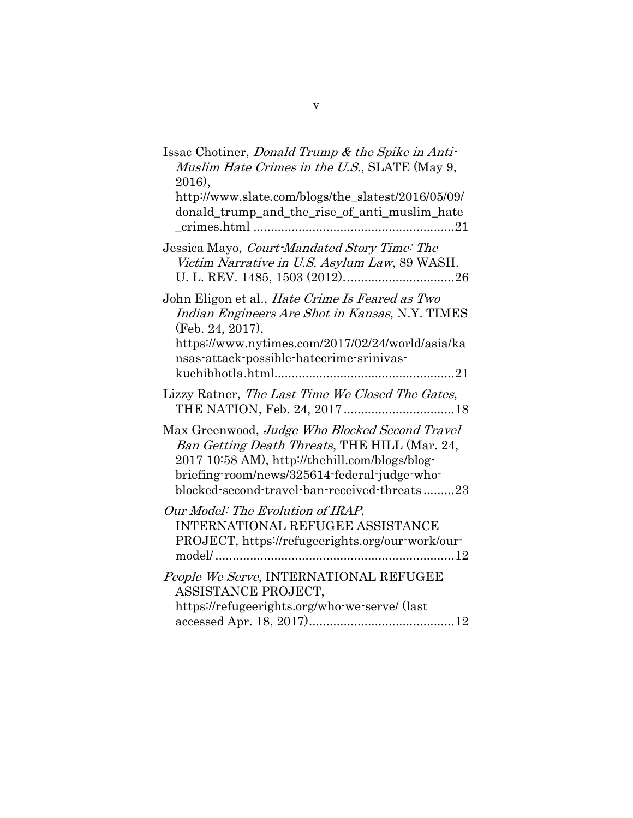| Issac Chotiner, Donald Trump & the Spike in Anti-<br>Muslim Hate Crimes in the U.S., SLATE (May 9,<br>$2016$ ,<br>http://www.slate.com/blogs/the_slatest/2016/05/09/<br>donald_trump_and_the_rise_of_anti_muslim_hate                             |
|---------------------------------------------------------------------------------------------------------------------------------------------------------------------------------------------------------------------------------------------------|
| Jessica Mayo, Court-Mandated Story Time: The<br>Victim Narrative in U.S. Asylum Law, 89 WASH.                                                                                                                                                     |
| John Eligon et al., <i>Hate Crime Is Feared as Two</i><br>Indian Engineers Are Shot in Kansas, N.Y. TIMES<br>(Feb. 24, 2017),<br>https://www.nytimes.com/2017/02/24/world/asia/ka<br>nsas-attack-possible-hatecrime-srinivas-                     |
| Lizzy Ratner, The Last Time We Closed The Gates,<br>THE NATION, Feb. 24, 2017 18                                                                                                                                                                  |
| Max Greenwood, Judge Who Blocked Second Travel<br>Ban Getting Death Threats, THE HILL (Mar. 24,<br>2017 10:58 AM), http://thehill.com/blogs/blog-<br>briefing-room/news/325614-federal-judge-who-<br>blocked-second-travel-ban-received-threats23 |
| Our Model: The Evolution of IRAP,<br><b>INTERNATIONAL REFUGEE ASSISTANCE</b><br>PROJECT, https://refugeerights.org/our-work/our-                                                                                                                  |
| People We Serve, INTERNATIONAL REFUGEE<br>ASSISTANCE PROJECT,<br>https://refugeerights.org/who-we-serve/ (last                                                                                                                                    |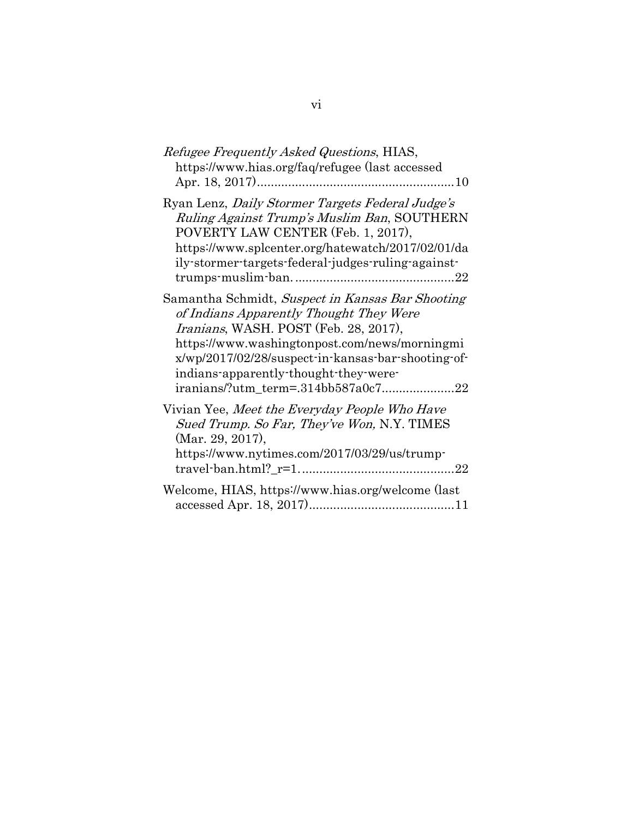| Refugee Frequently Asked Questions, HIAS,<br>https://www.hias.org/faq/refugee (last accessed                                                                                                                                                                                         |
|--------------------------------------------------------------------------------------------------------------------------------------------------------------------------------------------------------------------------------------------------------------------------------------|
| Ryan Lenz, Daily Stormer Targets Federal Judge's<br>Ruling Against Trump's Muslim Ban, SOUTHERN<br>POVERTY LAW CENTER (Feb. 1, 2017),<br>https://www.splcenter.org/hatewatch/2017/02/01/da<br>ily-stormer-targets-federal-judges-ruling-against-                                     |
| Samantha Schmidt, Suspect in Kansas Bar Shooting<br>of Indians Apparently Thought They Were<br>Iranians, WASH. POST (Feb. 28, 2017),<br>https://www.washingtonpost.com/news/morningmi<br>x/wp/2017/02/28/suspect-in-kansas-bar-shooting-of-<br>indians-apparently-thought-they-were- |
| Vivian Yee, Meet the Everyday People Who Have<br>Sued Trump. So Far, They've Won, N.Y. TIMES<br>(Mar. 29, 2017),<br>https://www.nytimes.com/2017/03/29/us/trump-                                                                                                                     |
| Welcome, HIAS, https://www.hias.org/welcome (last                                                                                                                                                                                                                                    |

vi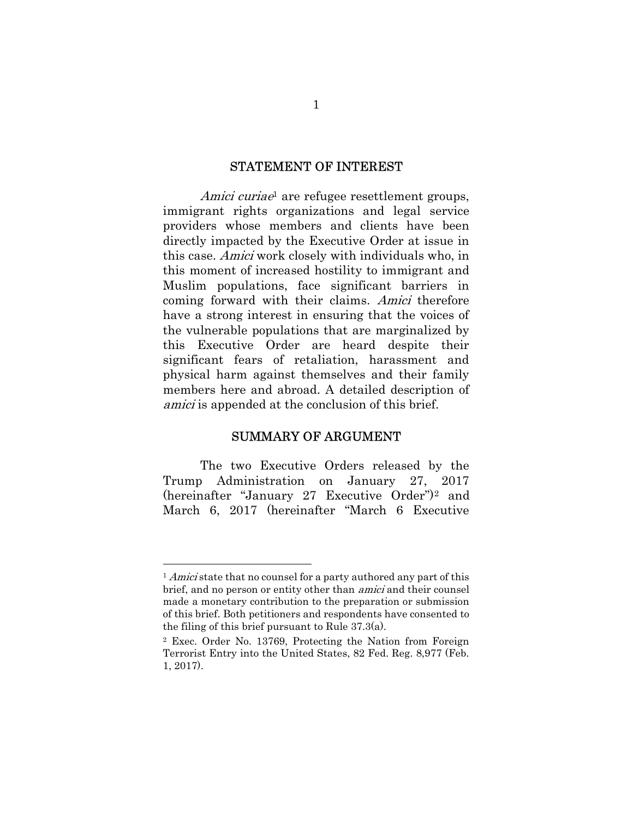#### STATEMENT OF INTEREST

Amici curiae<sup>1</sup> are refugee resettlement groups, immigrant rights organizations and legal service providers whose members and clients have been directly impacted by the Executive Order at issue in this case. Amici work closely with individuals who, in this moment of increased hostility to immigrant and Muslim populations, face significant barriers in coming forward with their claims. Amici therefore have a strong interest in ensuring that the voices of the vulnerable populations that are marginalized by this Executive Order are heard despite their significant fears of retaliation, harassment and physical harm against themselves and their family members here and abroad. A detailed description of amici is appended at the conclusion of this brief.

#### SUMMARY OF ARGUMENT

The two Executive Orders released by the Trump Administration on January 27, 2017 (hereinafter "January 27 Executive Order")2 and March 6, 2017 (hereinafter "March 6 Executive

<sup>&</sup>lt;sup>1</sup> Amici state that no counsel for a party authored any part of this brief, and no person or entity other than amici and their counsel made a monetary contribution to the preparation or submission of this brief. Both petitioners and respondents have consented to the filing of this brief pursuant to Rule 37.3(a).

<sup>2</sup> Exec. Order No. 13769, Protecting the Nation from Foreign Terrorist Entry into the United States, 82 Fed. Reg. 8,977 (Feb. 1, 2017).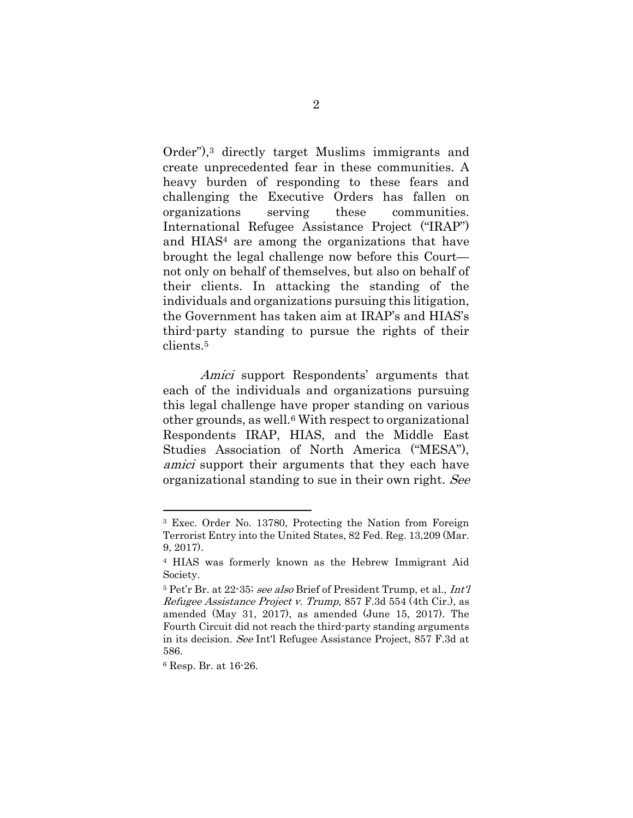Order"),3 directly target Muslims immigrants and create unprecedented fear in these communities. A heavy burden of responding to these fears and challenging the Executive Orders has fallen on organizations serving these communities. International Refugee Assistance Project ("IRAP") and HIAS4 are among the organizations that have brought the legal challenge now before this Court not only on behalf of themselves, but also on behalf of their clients. In attacking the standing of the individuals and organizations pursuing this litigation, the Government has taken aim at IRAP's and HIAS's third-party standing to pursue the rights of their clients.<sup>5</sup>

Amici support Respondents' arguments that each of the individuals and organizations pursuing this legal challenge have proper standing on various other grounds, as well.6 With respect to organizational Respondents IRAP, HIAS, and the Middle East Studies Association of North America ("MESA"), amici support their arguments that they each have organizational standing to sue in their own right. See

6 Resp. Br. at 16-26.

<sup>3</sup> Exec. Order No. 13780, Protecting the Nation from Foreign Terrorist Entry into the United States, 82 Fed. Reg. 13,209 (Mar. 9, 2017).

<sup>4</sup> HIAS was formerly known as the Hebrew Immigrant Aid Society.

<sup>5</sup> Pet'r Br. at 22-35; see also Brief of President Trump, et al., Int'l Refugee Assistance Project v. Trump, 857 F.3d 554 (4th Cir.), as amended (May 31, 2017), as amended (June 15, 2017). The Fourth Circuit did not reach the third-party standing arguments in its decision. See Int'l Refugee Assistance Project, 857 F.3d at 586.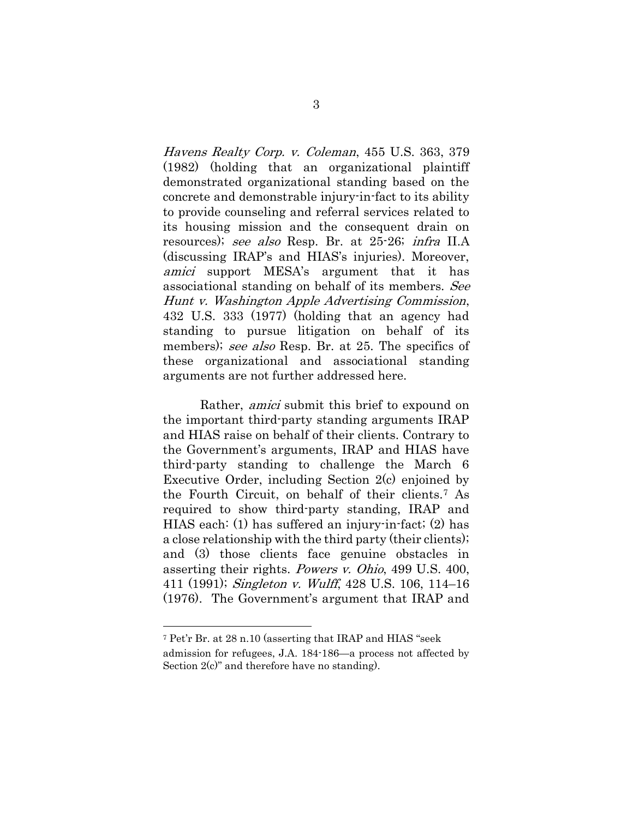Havens Realty Corp. v. Coleman, 455 U.S. 363, 379 (1982) (holding that an organizational plaintiff demonstrated organizational standing based on the concrete and demonstrable injury-in-fact to its ability to provide counseling and referral services related to its housing mission and the consequent drain on resources); see also Resp. Br. at 25-26; infra II.A (discussing IRAP's and HIAS's injuries). Moreover, amici support MESA's argument that it has associational standing on behalf of its members. See Hunt v. Washington Apple Advertising Commission, 432 U.S. 333 (1977) (holding that an agency had standing to pursue litigation on behalf of its members); see also Resp. Br. at 25. The specifics of these organizational and associational standing arguments are not further addressed here.

Rather, *amici* submit this brief to expound on the important third-party standing arguments IRAP and HIAS raise on behalf of their clients. Contrary to the Government's arguments, IRAP and HIAS have third-party standing to challenge the March 6 Executive Order, including Section 2(c) enjoined by the Fourth Circuit, on behalf of their clients.7 As required to show third-party standing, IRAP and HIAS each: (1) has suffered an injury-in-fact; (2) has a close relationship with the third party (their clients); and (3) those clients face genuine obstacles in asserting their rights. Powers v. Ohio, 499 U.S. 400, 411 (1991); Singleton v. Wulff, 428 U.S. 106, 114–16 (1976). The Government's argument that IRAP and

<sup>7</sup> Pet'r Br. at 28 n.10 (asserting that IRAP and HIAS "seek admission for refugees, J.A. 184-186—a process not affected by Section 2(c)" and therefore have no standing).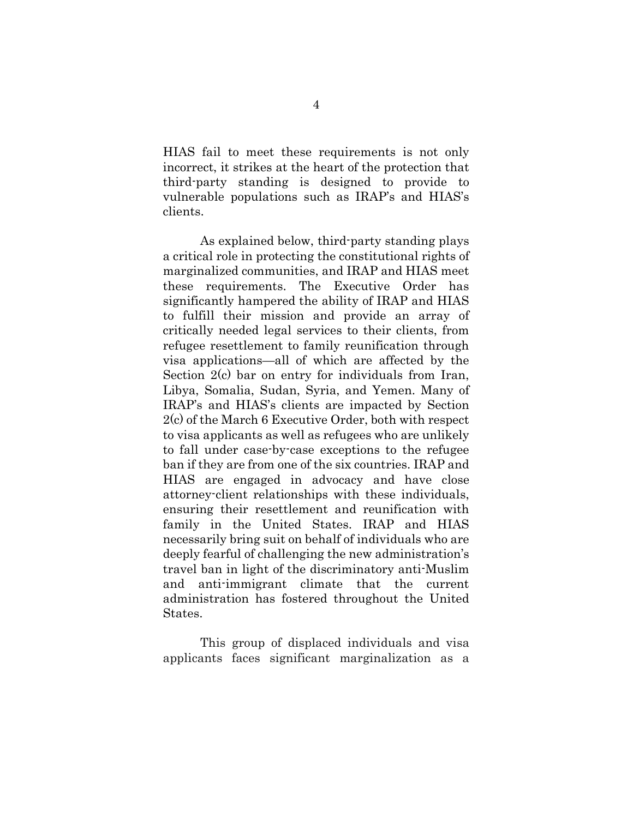HIAS fail to meet these requirements is not only incorrect, it strikes at the heart of the protection that third-party standing is designed to provide to vulnerable populations such as IRAP's and HIAS's clients.

As explained below, third-party standing plays a critical role in protecting the constitutional rights of marginalized communities, and IRAP and HIAS meet these requirements. The Executive Order has significantly hampered the ability of IRAP and HIAS to fulfill their mission and provide an array of critically needed legal services to their clients, from refugee resettlement to family reunification through visa applications—all of which are affected by the Section 2(c) bar on entry for individuals from Iran, Libya, Somalia, Sudan, Syria, and Yemen. Many of IRAP's and HIAS's clients are impacted by Section 2(c) of the March 6 Executive Order, both with respect to visa applicants as well as refugees who are unlikely to fall under case-by-case exceptions to the refugee ban if they are from one of the six countries. IRAP and HIAS are engaged in advocacy and have close attorney-client relationships with these individuals, ensuring their resettlement and reunification with family in the United States. IRAP and HIAS necessarily bring suit on behalf of individuals who are deeply fearful of challenging the new administration's travel ban in light of the discriminatory anti-Muslim and anti-immigrant climate that the current administration has fostered throughout the United States.

This group of displaced individuals and visa applicants faces significant marginalization as a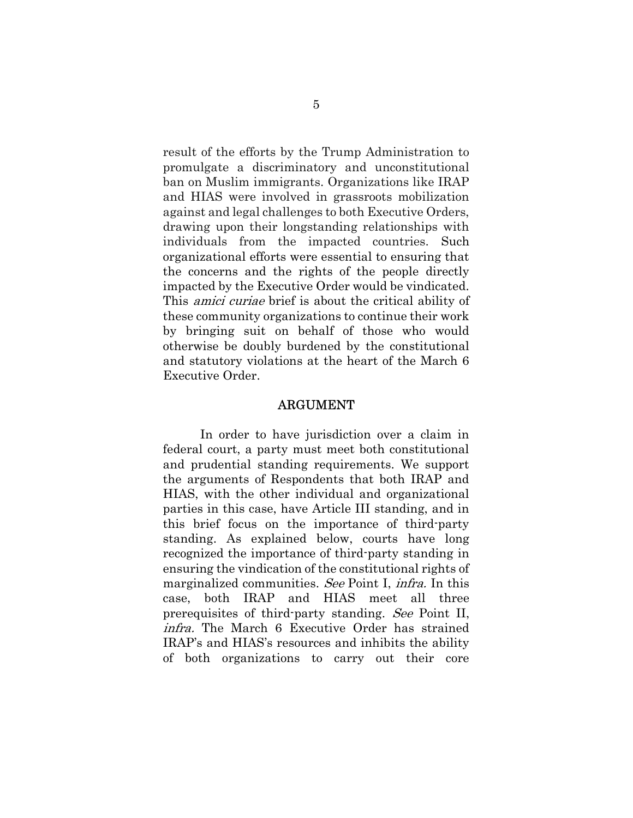result of the efforts by the Trump Administration to promulgate a discriminatory and unconstitutional ban on Muslim immigrants. Organizations like IRAP and HIAS were involved in grassroots mobilization against and legal challenges to both Executive Orders, drawing upon their longstanding relationships with individuals from the impacted countries. Such organizational efforts were essential to ensuring that the concerns and the rights of the people directly impacted by the Executive Order would be vindicated. This *amici curiae* brief is about the critical ability of these community organizations to continue their work by bringing suit on behalf of those who would otherwise be doubly burdened by the constitutional and statutory violations at the heart of the March 6 Executive Order.

#### ARGUMENT

In order to have jurisdiction over a claim in federal court, a party must meet both constitutional and prudential standing requirements. We support the arguments of Respondents that both IRAP and HIAS, with the other individual and organizational parties in this case, have Article III standing, and in this brief focus on the importance of third-party standing. As explained below, courts have long recognized the importance of third-party standing in ensuring the vindication of the constitutional rights of marginalized communities. See Point I, infra. In this case, both IRAP and HIAS meet all three prerequisites of third-party standing. See Point II, infra. The March 6 Executive Order has strained IRAP's and HIAS's resources and inhibits the ability of both organizations to carry out their core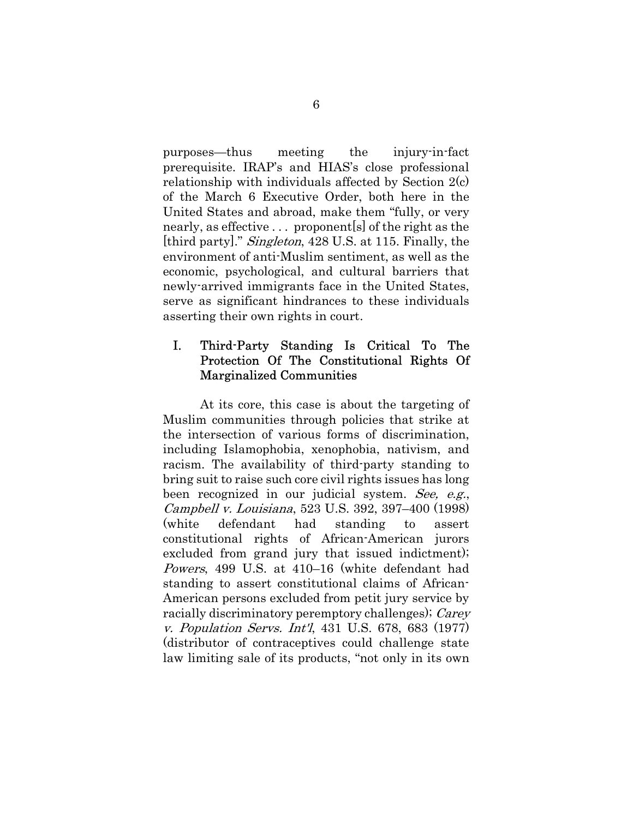purposes—thus meeting the injury-in-fact prerequisite. IRAP's and HIAS's close professional relationship with individuals affected by Section 2(c) of the March 6 Executive Order, both here in the United States and abroad, make them "fully, or very nearly, as effective . . . proponent[s] of the right as the [third party]." Singleton, 428 U.S. at 115. Finally, the environment of anti-Muslim sentiment, as well as the economic, psychological, and cultural barriers that newly-arrived immigrants face in the United States, serve as significant hindrances to these individuals asserting their own rights in court.

### I. Third-Party Standing Is Critical To The Protection Of The Constitutional Rights Of Marginalized Communities

 At its core, this case is about the targeting of Muslim communities through policies that strike at the intersection of various forms of discrimination, including Islamophobia, xenophobia, nativism, and racism. The availability of third-party standing to bring suit to raise such core civil rights issues has long been recognized in our judicial system. See, e.g., Campbell v. Louisiana, 523 U.S. 392, 397–400 (1998) (white defendant had standing to assert constitutional rights of African-American jurors excluded from grand jury that issued indictment); Powers, 499 U.S. at 410–16 (white defendant had standing to assert constitutional claims of African-American persons excluded from petit jury service by racially discriminatory peremptory challenges); Carey v. Population Servs. Int'l, 431 U.S. 678, 683 (1977) (distributor of contraceptives could challenge state law limiting sale of its products, "not only in its own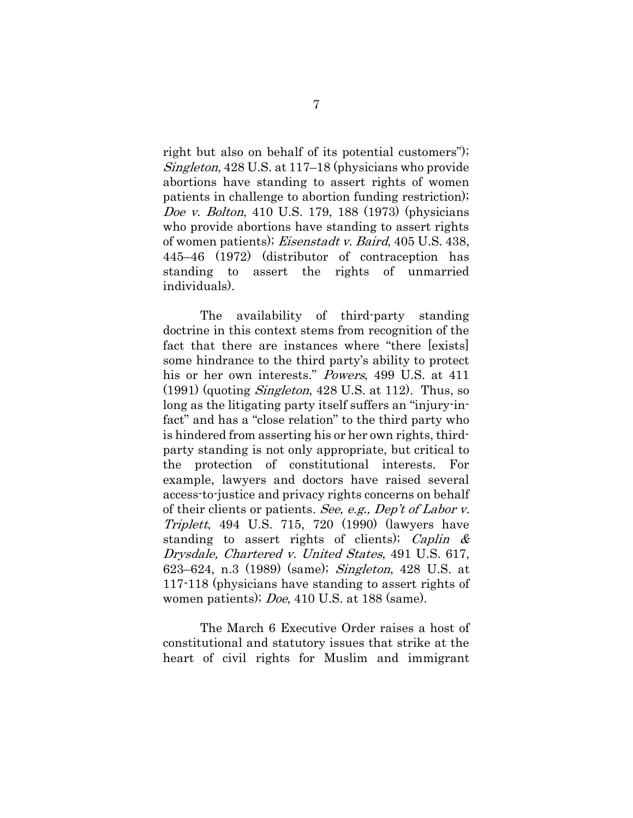right but also on behalf of its potential customers"); Singleton, 428 U.S. at 117–18 (physicians who provide abortions have standing to assert rights of women patients in challenge to abortion funding restriction); Doe v. Bolton, 410 U.S. 179, 188 (1973) (physicians who provide abortions have standing to assert rights of women patients); Eisenstadt v. Baird, 405 U.S. 438, 445–46 (1972) (distributor of contraception has standing to assert the rights of unmarried individuals).

The availability of third-party standing doctrine in this context stems from recognition of the fact that there are instances where "there [exists] some hindrance to the third party's ability to protect his or her own interests." Powers, 499 U.S. at 411  $(1991)$  (quoting *Singleton*, 428 U.S. at 112). Thus, so long as the litigating party itself suffers an "injury-infact" and has a "close relation" to the third party who is hindered from asserting his or her own rights, thirdparty standing is not only appropriate, but critical to the protection of constitutional interests. For example, lawyers and doctors have raised several access-to-justice and privacy rights concerns on behalf of their clients or patients. See, e.g., Dep't of Labor v. Triplett, 494 U.S. 715, 720 (1990) (lawyers have standing to assert rights of clients); Caplin  $\&$ Drysdale, Chartered v. United States, 491 U.S. 617, 623–624, n.3 (1989) (same); Singleton, 428 U.S. at 117-118 (physicians have standing to assert rights of women patients); *Doe*, 410 U.S. at 188 (same).

The March 6 Executive Order raises a host of constitutional and statutory issues that strike at the heart of civil rights for Muslim and immigrant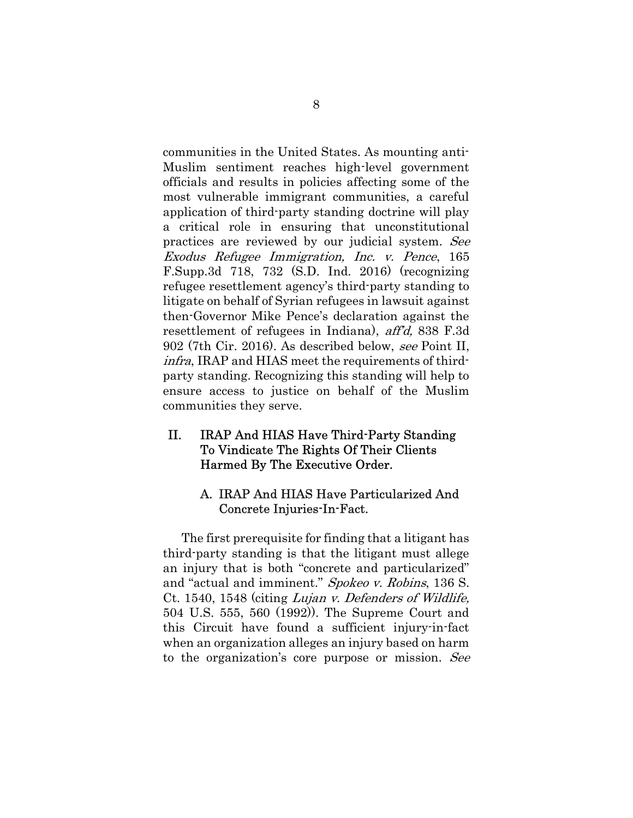communities in the United States. As mounting anti-Muslim sentiment reaches high-level government officials and results in policies affecting some of the most vulnerable immigrant communities, a careful application of third-party standing doctrine will play a critical role in ensuring that unconstitutional practices are reviewed by our judicial system. See Exodus Refugee Immigration, Inc. v. Pence, 165 F.Supp.3d 718, 732 (S.D. Ind. 2016) (recognizing refugee resettlement agency's third-party standing to litigate on behalf of Syrian refugees in lawsuit against then-Governor Mike Pence's declaration against the resettlement of refugees in Indiana), aff'd, 838 F.3d 902 (7th Cir. 2016). As described below, see Point II, infra, IRAP and HIAS meet the requirements of thirdparty standing. Recognizing this standing will help to ensure access to justice on behalf of the Muslim communities they serve.

### II. IRAP And HIAS Have Third-Party Standing To Vindicate The Rights Of Their Clients Harmed By The Executive Order.

### A. IRAP And HIAS Have Particularized And Concrete Injuries-In-Fact.

The first prerequisite for finding that a litigant has third-party standing is that the litigant must allege an injury that is both "concrete and particularized" and "actual and imminent." Spokeo v. Robins, 136 S. Ct. 1540, 1548 (citing Lujan v. Defenders of Wildlife, 504 U.S. 555, 560 (1992)). The Supreme Court and this Circuit have found a sufficient injury-in-fact when an organization alleges an injury based on harm to the organization's core purpose or mission. See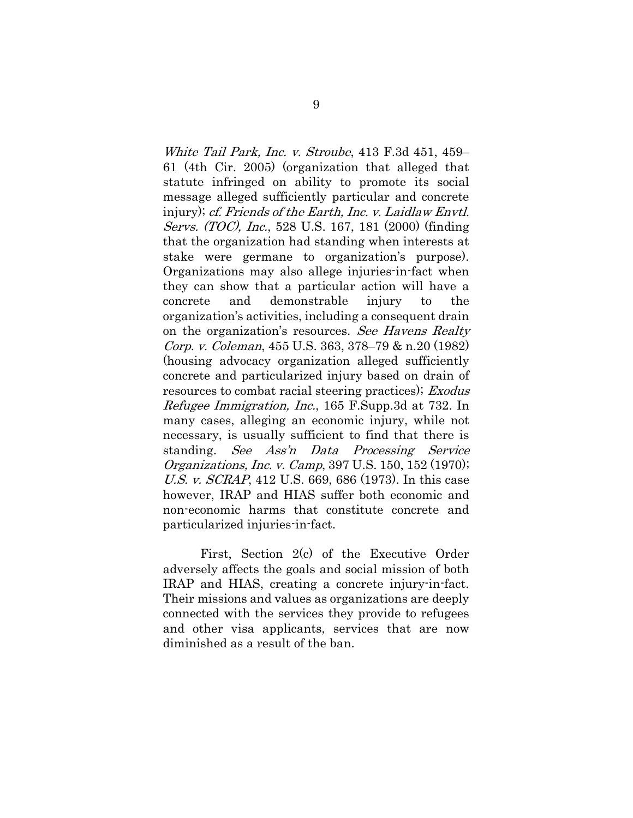White Tail Park, Inc. v. Stroube, 413 F.3d 451, 459– 61 (4th Cir. 2005) (organization that alleged that statute infringed on ability to promote its social message alleged sufficiently particular and concrete injury); cf. Friends of the Earth, Inc. v. Laidlaw Envtl. Servs. (TOC), Inc., 528 U.S. 167, 181 (2000) (finding that the organization had standing when interests at stake were germane to organization's purpose). Organizations may also allege injuries-in-fact when they can show that a particular action will have a concrete and demonstrable injury to the organization's activities, including a consequent drain on the organization's resources. See Havens Realty Corp. v. Coleman, 455 U.S. 363, 378–79 & n.20 (1982) (housing advocacy organization alleged sufficiently concrete and particularized injury based on drain of resources to combat racial steering practices); Exodus Refugee Immigration, Inc., 165 F.Supp.3d at 732. In many cases, alleging an economic injury, while not necessary, is usually sufficient to find that there is standing. See Ass'n Data Processing Service Organizations, Inc. v. Camp, 397 U.S. 150, 152 (1970); U.S. v. SCRAP, 412 U.S. 669, 686 (1973). In this case however, IRAP and HIAS suffer both economic and non-economic harms that constitute concrete and particularized injuries-in-fact.

First, Section 2(c) of the Executive Order adversely affects the goals and social mission of both IRAP and HIAS, creating a concrete injury-in-fact. Their missions and values as organizations are deeply connected with the services they provide to refugees and other visa applicants, services that are now diminished as a result of the ban.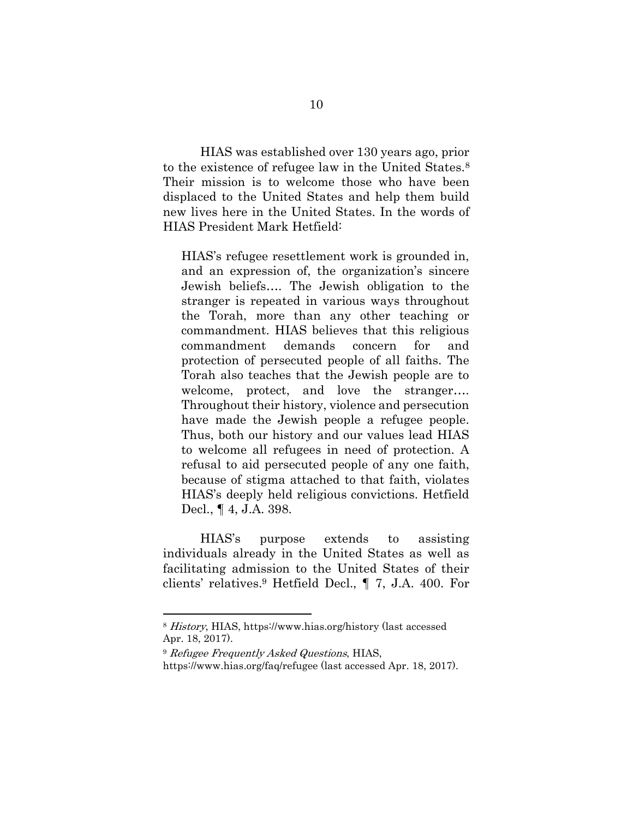HIAS was established over 130 years ago, prior to the existence of refugee law in the United States.<sup>8</sup> Their mission is to welcome those who have been displaced to the United States and help them build new lives here in the United States. In the words of HIAS President Mark Hetfield:

HIAS's refugee resettlement work is grounded in, and an expression of, the organization's sincere Jewish beliefs…. The Jewish obligation to the stranger is repeated in various ways throughout the Torah, more than any other teaching or commandment. HIAS believes that this religious commandment demands concern for and protection of persecuted people of all faiths. The Torah also teaches that the Jewish people are to welcome, protect, and love the stranger…. Throughout their history, violence and persecution have made the Jewish people a refugee people. Thus, both our history and our values lead HIAS to welcome all refugees in need of protection. A refusal to aid persecuted people of any one faith, because of stigma attached to that faith, violates HIAS's deeply held religious convictions. Hetfield Decl., ¶ 4, J.A. 398.

HIAS's purpose extends to assisting individuals already in the United States as well as facilitating admission to the United States of their clients' relatives.9 Hetfield Decl., ¶ 7, J.A. 400. For

<sup>8</sup> History, HIAS, https://www.hias.org/history (last accessed Apr. 18, 2017).

<sup>&</sup>lt;sup>9</sup> Refugee Frequently Asked Questions, HIAS,

https://www.hias.org/faq/refugee (last accessed Apr. 18, 2017).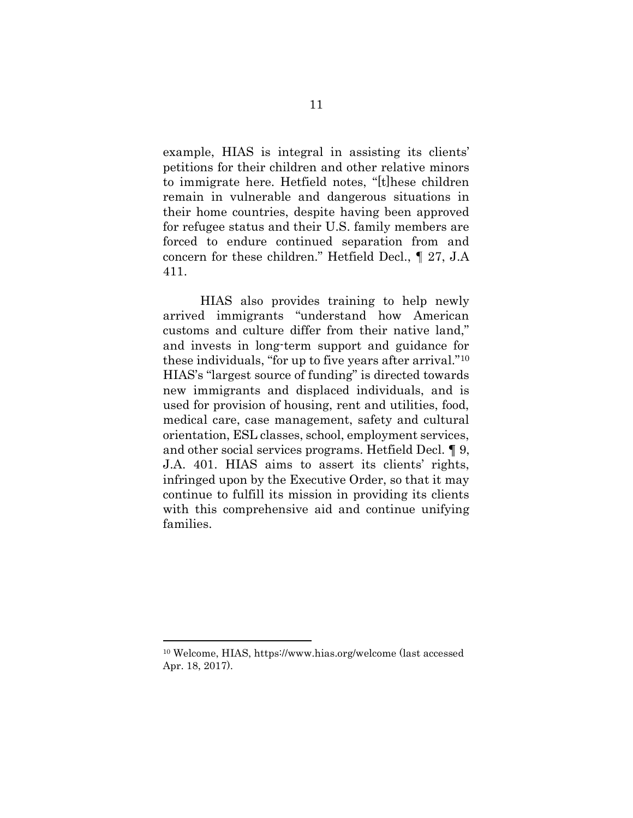example, HIAS is integral in assisting its clients' petitions for their children and other relative minors to immigrate here. Hetfield notes, "[t]hese children remain in vulnerable and dangerous situations in their home countries, despite having been approved for refugee status and their U.S. family members are forced to endure continued separation from and concern for these children." Hetfield Decl., ¶ 27, J.A 411.

HIAS also provides training to help newly arrived immigrants "understand how American customs and culture differ from their native land," and invests in long-term support and guidance for these individuals, "for up to five years after arrival."<sup>10</sup> HIAS's "largest source of funding" is directed towards new immigrants and displaced individuals, and is used for provision of housing, rent and utilities, food, medical care, case management, safety and cultural orientation, ESL classes, school, employment services, and other social services programs. Hetfield Decl. ¶ 9, J.A. 401. HIAS aims to assert its clients' rights, infringed upon by the Executive Order, so that it may continue to fulfill its mission in providing its clients with this comprehensive aid and continue unifying families.

<sup>10</sup> Welcome, HIAS, https://www.hias.org/welcome (last accessed Apr. 18, 2017).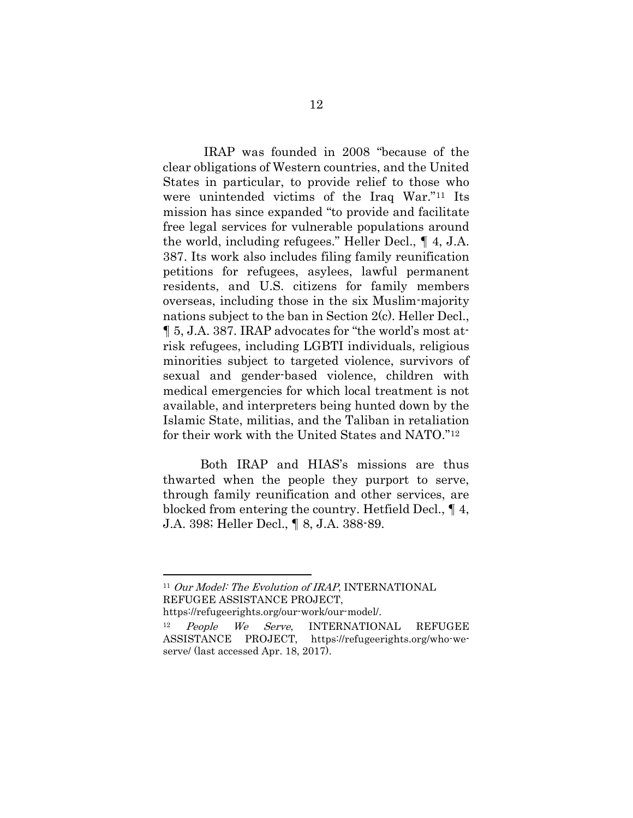IRAP was founded in 2008 "because of the clear obligations of Western countries, and the United States in particular, to provide relief to those who were unintended victims of the Iraq War."11 Its mission has since expanded "to provide and facilitate free legal services for vulnerable populations around the world, including refugees." Heller Decl., ¶ 4, J.A. 387. Its work also includes filing family reunification petitions for refugees, asylees, lawful permanent residents, and U.S. citizens for family members overseas, including those in the six Muslim-majority nations subject to the ban in Section 2(c). Heller Decl., ¶ 5, J.A. 387. IRAP advocates for "the world's most atrisk refugees, including LGBTI individuals, religious minorities subject to targeted violence, survivors of sexual and gender-based violence, children with medical emergencies for which local treatment is not available, and interpreters being hunted down by the Islamic State, militias, and the Taliban in retaliation for their work with the United States and NATO."<sup>12</sup>

Both IRAP and HIAS's missions are thus thwarted when the people they purport to serve, through family reunification and other services, are blocked from entering the country. Hetfield Decl., ¶ 4, J.A. 398; Heller Decl., ¶ 8, J.A. 388-89.

https://refugeerights.org/our-work/our-model/.

<sup>&</sup>lt;sup>11</sup> Our Model: The Evolution of IRAP, INTERNATIONAL REFUGEE ASSISTANCE PROJECT,

People We Serve, INTERNATIONAL REFUGEE ASSISTANCE PROJECT, https://refugeerights.org/who-weserve/ (last accessed Apr. 18, 2017).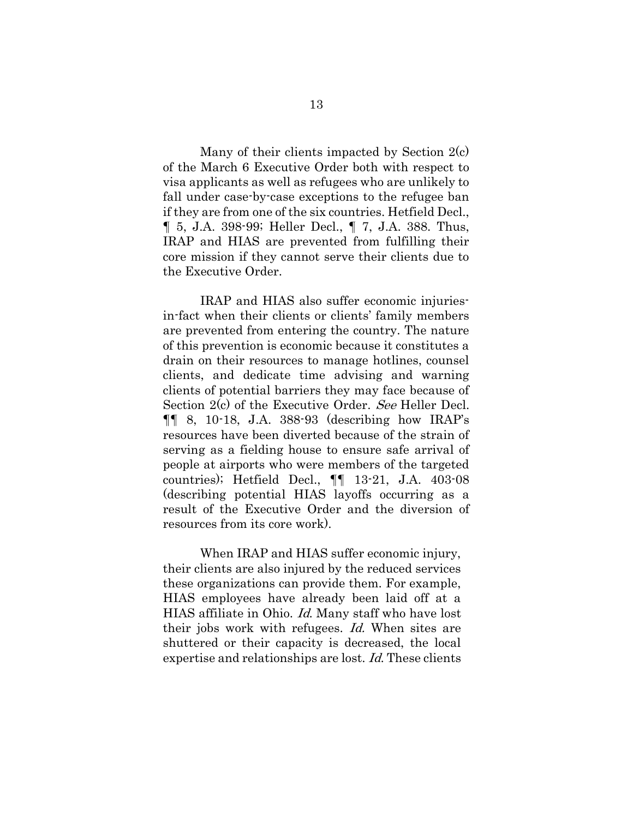Many of their clients impacted by Section 2(c) of the March 6 Executive Order both with respect to visa applicants as well as refugees who are unlikely to fall under case-by-case exceptions to the refugee ban if they are from one of the six countries. Hetfield Decl., ¶ 5, J.A. 398-99; Heller Decl., ¶ 7, J.A. 388. Thus, IRAP and HIAS are prevented from fulfilling their core mission if they cannot serve their clients due to the Executive Order.

IRAP and HIAS also suffer economic injuriesin-fact when their clients or clients' family members are prevented from entering the country. The nature of this prevention is economic because it constitutes a drain on their resources to manage hotlines, counsel clients, and dedicate time advising and warning clients of potential barriers they may face because of Section 2(c) of the Executive Order. See Heller Decl.  $\P\P$  8, 10-18, J.A. 388-93 (describing how IRAP's resources have been diverted because of the strain of serving as a fielding house to ensure safe arrival of people at airports who were members of the targeted countries); Hetfield Decl., ¶¶ 13-21, J.A. 403-08 (describing potential HIAS layoffs occurring as a result of the Executive Order and the diversion of resources from its core work).

When IRAP and HIAS suffer economic injury, their clients are also injured by the reduced services these organizations can provide them. For example, HIAS employees have already been laid off at a HIAS affiliate in Ohio. Id. Many staff who have lost their jobs work with refugees. Id. When sites are shuttered or their capacity is decreased, the local expertise and relationships are lost. Id. These clients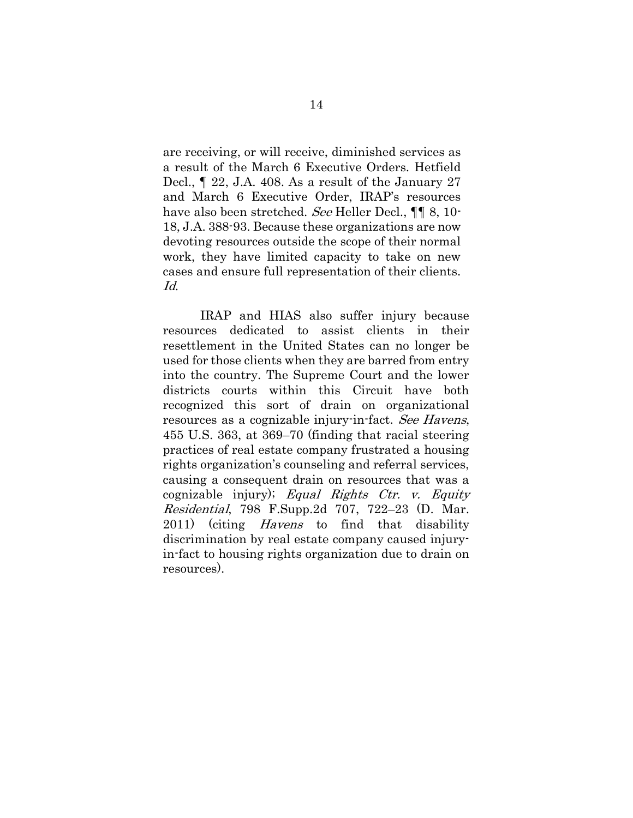are receiving, or will receive, diminished services as a result of the March 6 Executive Orders. Hetfield Decl., ¶ 22, J.A. 408. As a result of the January 27 and March 6 Executive Order, IRAP's resources have also been stretched. See Heller Decl.,  $\P\P$  8, 10-18, J.A. 388-93. Because these organizations are now devoting resources outside the scope of their normal work, they have limited capacity to take on new cases and ensure full representation of their clients. Id.

IRAP and HIAS also suffer injury because resources dedicated to assist clients in their resettlement in the United States can no longer be used for those clients when they are barred from entry into the country. The Supreme Court and the lower districts courts within this Circuit have both recognized this sort of drain on organizational resources as a cognizable injury-in-fact. See Havens, 455 U.S. 363, at 369–70 (finding that racial steering practices of real estate company frustrated a housing rights organization's counseling and referral services, causing a consequent drain on resources that was a cognizable injury); Equal Rights Ctr. v. Equity Residential, 798 F.Supp.2d 707, 722–23 (D. Mar. 2011) (citing Havens to find that disability discrimination by real estate company caused injuryin-fact to housing rights organization due to drain on resources).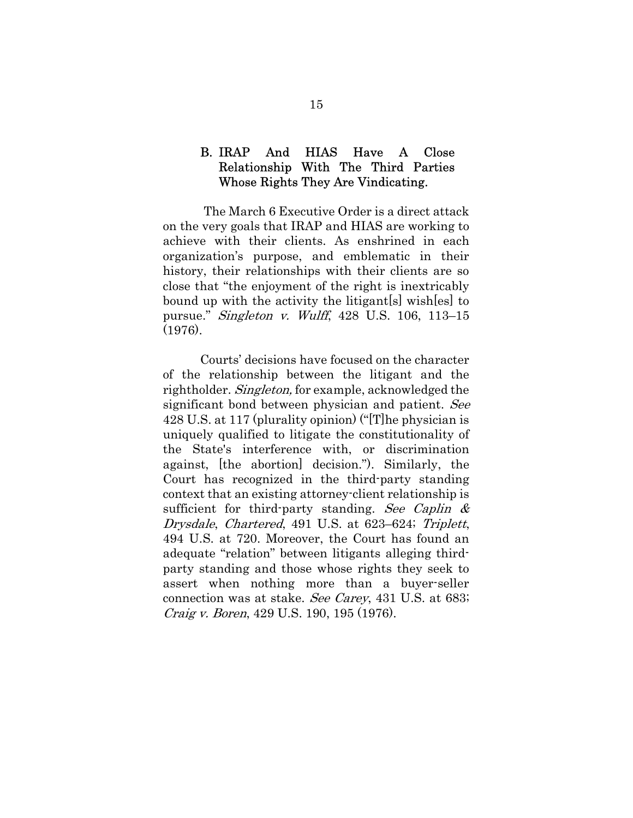### B. IRAP And HIAS Have A Close Relationship With The Third Parties Whose Rights They Are Vindicating.

The March 6 Executive Order is a direct attack on the very goals that IRAP and HIAS are working to achieve with their clients. As enshrined in each organization's purpose, and emblematic in their history, their relationships with their clients are so close that "the enjoyment of the right is inextricably bound up with the activity the litigant[s] wish[es] to pursue." Singleton v. Wulff, 428 U.S. 106, 113–15 (1976).

Courts' decisions have focused on the character of the relationship between the litigant and the rightholder. Singleton, for example, acknowledged the significant bond between physician and patient. See 428 U.S. at 117 (plurality opinion) ("[T]he physician is uniquely qualified to litigate the constitutionality of the State's interference with, or discrimination against, [the abortion] decision."). Similarly, the Court has recognized in the third-party standing context that an existing attorney-client relationship is sufficient for third-party standing. See Caplin  $\&$ Drysdale, Chartered, 491 U.S. at 623–624; Triplett, 494 U.S. at 720. Moreover, the Court has found an adequate "relation" between litigants alleging thirdparty standing and those whose rights they seek to assert when nothing more than a buyer-seller connection was at stake. See Carey, 431 U.S. at 683; Craig v. Boren, 429 U.S. 190, 195 (1976).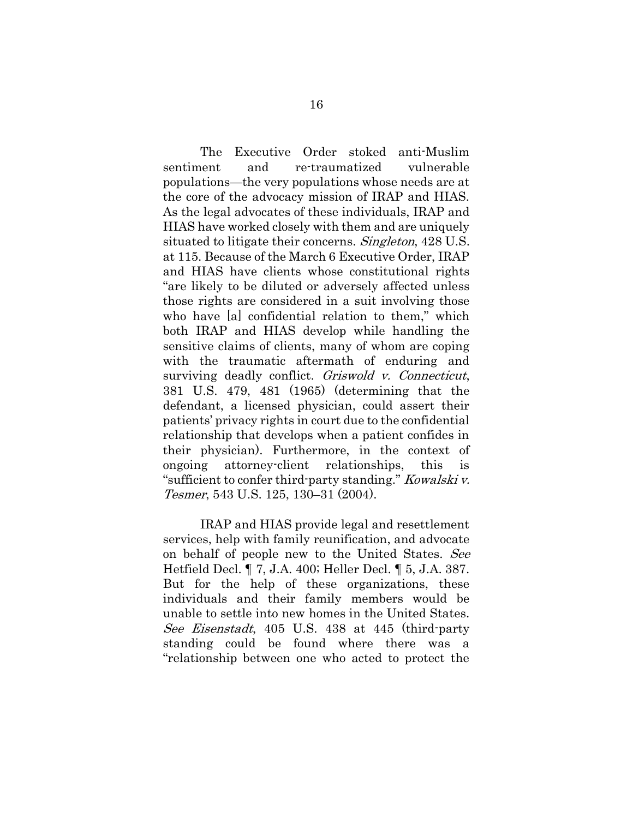The Executive Order stoked anti-Muslim sentiment and re-traumatized vulnerable populations—the very populations whose needs are at the core of the advocacy mission of IRAP and HIAS. As the legal advocates of these individuals, IRAP and HIAS have worked closely with them and are uniquely situated to litigate their concerns. *Singleton*, 428 U.S. at 115. Because of the March 6 Executive Order, IRAP and HIAS have clients whose constitutional rights "are likely to be diluted or adversely affected unless those rights are considered in a suit involving those who have [a] confidential relation to them," which both IRAP and HIAS develop while handling the sensitive claims of clients, many of whom are coping with the traumatic aftermath of enduring and surviving deadly conflict. Griswold v. Connecticut, 381 U.S. 479, 481 (1965) (determining that the defendant, a licensed physician, could assert their patients' privacy rights in court due to the confidential relationship that develops when a patient confides in their physician). Furthermore, in the context of ongoing attorney-client relationships, this is "sufficient to confer third-party standing." Kowalski v. Tesmer, 543 U.S. 125, 130–31 (2004).

IRAP and HIAS provide legal and resettlement services, help with family reunification, and advocate on behalf of people new to the United States. See Hetfield Decl. ¶ 7, J.A. 400; Heller Decl. ¶ 5, J.A. 387. But for the help of these organizations, these individuals and their family members would be unable to settle into new homes in the United States. See Eisenstadt, 405 U.S. 438 at 445 (third-party standing could be found where there was a "relationship between one who acted to protect the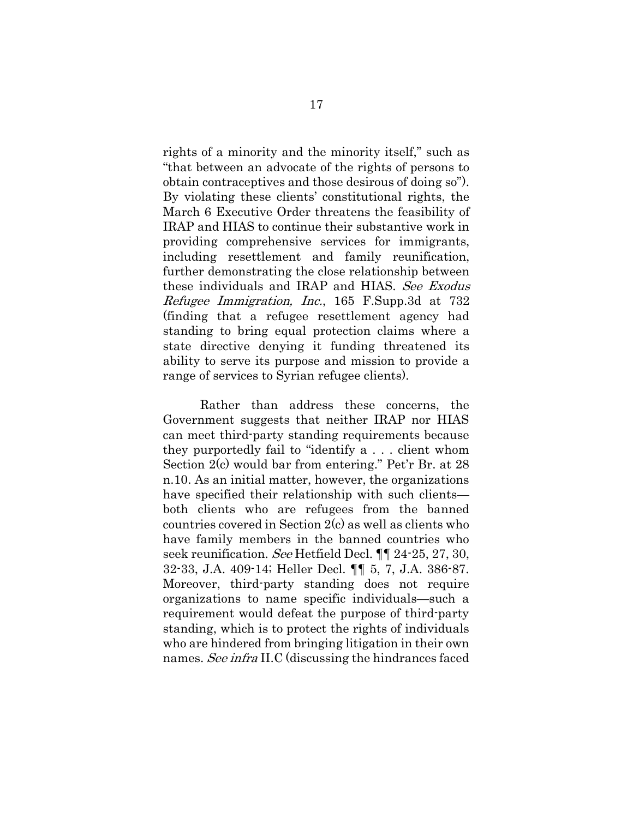rights of a minority and the minority itself," such as "that between an advocate of the rights of persons to obtain contraceptives and those desirous of doing so"). By violating these clients' constitutional rights, the March 6 Executive Order threatens the feasibility of IRAP and HIAS to continue their substantive work in providing comprehensive services for immigrants, including resettlement and family reunification, further demonstrating the close relationship between these individuals and IRAP and HIAS. See Exodus Refugee Immigration, Inc., 165 F.Supp.3d at 732 (finding that a refugee resettlement agency had standing to bring equal protection claims where a state directive denying it funding threatened its ability to serve its purpose and mission to provide a range of services to Syrian refugee clients).

Rather than address these concerns, the Government suggests that neither IRAP nor HIAS can meet third-party standing requirements because they purportedly fail to "identify a . . . client whom Section 2(c) would bar from entering." Pet'r Br. at 28 n.10. As an initial matter, however, the organizations have specified their relationship with such clients both clients who are refugees from the banned countries covered in Section 2(c) as well as clients who have family members in the banned countries who seek reunification. See Hetfield Decl. ¶¶ 24-25, 27, 30, 32-33, J.A. 409-14; Heller Decl. ¶¶ 5, 7, J.A. 386-87. Moreover, third-party standing does not require organizations to name specific individuals—such a requirement would defeat the purpose of third-party standing, which is to protect the rights of individuals who are hindered from bringing litigation in their own names. See infra II.C (discussing the hindrances faced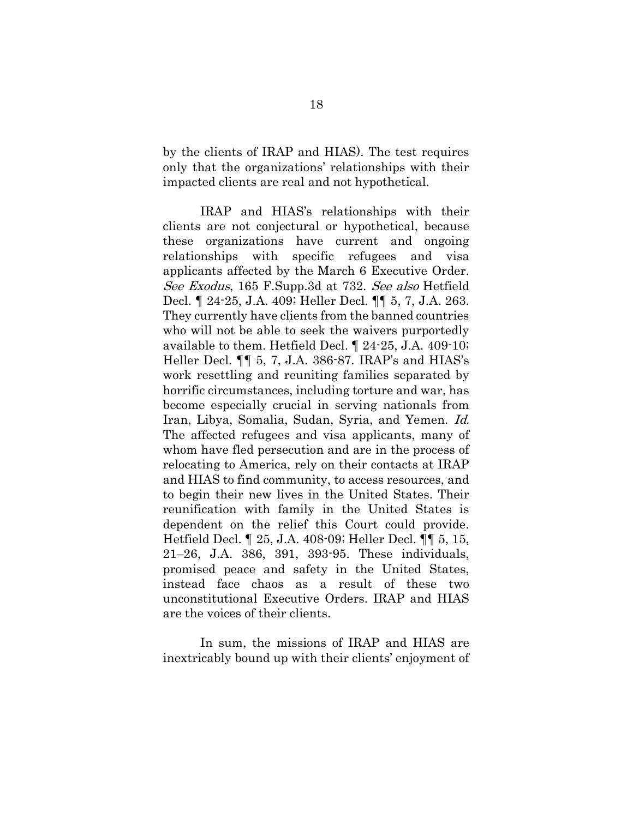by the clients of IRAP and HIAS). The test requires only that the organizations' relationships with their impacted clients are real and not hypothetical.

IRAP and HIAS's relationships with their clients are not conjectural or hypothetical, because these organizations have current and ongoing relationships with specific refugees and visa applicants affected by the March 6 Executive Order. See Exodus, 165 F.Supp.3d at 732. See also Hetfield Decl. ¶ 24-25, J.A. 409; Heller Decl. ¶¶ 5, 7, J.A. 263. They currently have clients from the banned countries who will not be able to seek the waivers purportedly available to them. Hetfield Decl. ¶ 24-25, J.A. 409-10; Heller Decl. ¶¶ 5, 7, J.A. 386-87. IRAP's and HIAS's work resettling and reuniting families separated by horrific circumstances, including torture and war, has become especially crucial in serving nationals from Iran, Libya, Somalia, Sudan, Syria, and Yemen. Id. The affected refugees and visa applicants, many of whom have fled persecution and are in the process of relocating to America, rely on their contacts at IRAP and HIAS to find community, to access resources, and to begin their new lives in the United States. Their reunification with family in the United States is dependent on the relief this Court could provide. Hetfield Decl. ¶ 25, J.A. 408-09; Heller Decl. ¶¶ 5, 15, 21–26, J.A. 386, 391, 393-95. These individuals, promised peace and safety in the United States, instead face chaos as a result of these two unconstitutional Executive Orders. IRAP and HIAS are the voices of their clients.

In sum, the missions of IRAP and HIAS are inextricably bound up with their clients' enjoyment of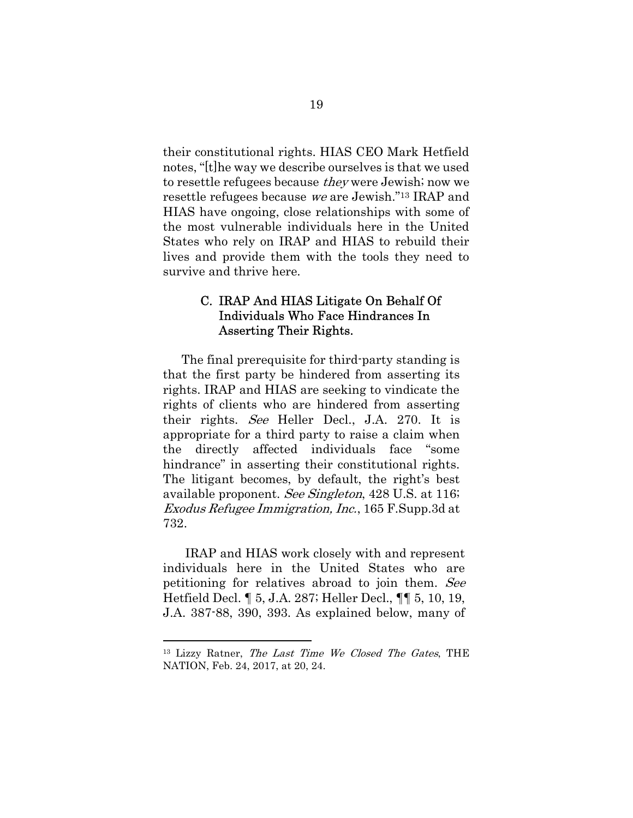their constitutional rights. HIAS CEO Mark Hetfield notes, "[t]he way we describe ourselves is that we used to resettle refugees because they were Jewish; now we resettle refugees because we are Jewish."13 IRAP and HIAS have ongoing, close relationships with some of the most vulnerable individuals here in the United States who rely on IRAP and HIAS to rebuild their lives and provide them with the tools they need to survive and thrive here.

### C. IRAP And HIAS Litigate On Behalf Of Individuals Who Face Hindrances In Asserting Their Rights.

The final prerequisite for third-party standing is that the first party be hindered from asserting its rights. IRAP and HIAS are seeking to vindicate the rights of clients who are hindered from asserting their rights. See Heller Decl., J.A. 270. It is appropriate for a third party to raise a claim when the directly affected individuals face "some hindrance" in asserting their constitutional rights. The litigant becomes, by default, the right's best available proponent. See Singleton, 428 U.S. at 116; Exodus Refugee Immigration, Inc., 165 F.Supp.3d at 732.

IRAP and HIAS work closely with and represent individuals here in the United States who are petitioning for relatives abroad to join them. See Hetfield Decl. ¶ 5, J.A. 287; Heller Decl., ¶¶ 5, 10, 19, J.A. 387-88, 390, 393. As explained below, many of

<sup>&</sup>lt;sup>13</sup> Lizzy Ratner, The Last Time We Closed The Gates, THE NATION, Feb. 24, 2017, at 20, 24.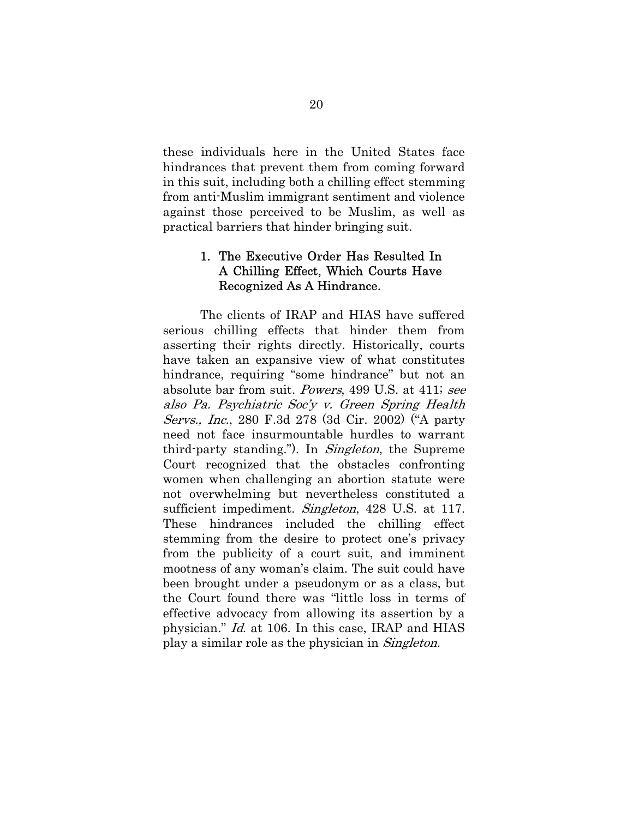these individuals here in the United States face hindrances that prevent them from coming forward in this suit, including both a chilling effect stemming from anti-Muslim immigrant sentiment and violence against those perceived to be Muslim, as well as practical barriers that hinder bringing suit.

### 1. The Executive Order Has Resulted In A Chilling Effect, Which Courts Have Recognized As A Hindrance.

The clients of IRAP and HIAS have suffered serious chilling effects that hinder them from asserting their rights directly. Historically, courts have taken an expansive view of what constitutes hindrance, requiring "some hindrance" but not an absolute bar from suit. Powers, 499 U.S. at 411; see also Pa. Psychiatric Soc'y v. Green Spring Health Servs., Inc., 280 F.3d 278 (3d Cir. 2002) ("A party need not face insurmountable hurdles to warrant third-party standing."). In *Singleton*, the Supreme Court recognized that the obstacles confronting women when challenging an abortion statute were not overwhelming but nevertheless constituted a sufficient impediment. *Singleton*, 428 U.S. at 117. These hindrances included the chilling effect stemming from the desire to protect one's privacy from the publicity of a court suit, and imminent mootness of any woman's claim. The suit could have been brought under a pseudonym or as a class, but the Court found there was "little loss in terms of effective advocacy from allowing its assertion by a physician." Id. at 106. In this case, IRAP and HIAS play a similar role as the physician in Singleton.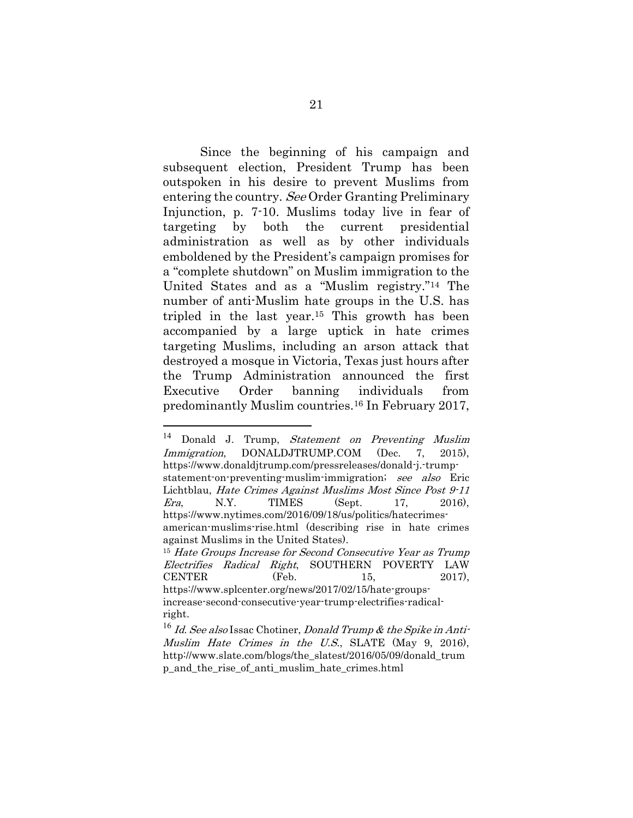Since the beginning of his campaign and subsequent election, President Trump has been outspoken in his desire to prevent Muslims from entering the country. See Order Granting Preliminary Injunction, p. 7-10. Muslims today live in fear of targeting by both the current presidential administration as well as by other individuals emboldened by the President's campaign promises for a "complete shutdown" on Muslim immigration to the United States and as a "Muslim registry."14 The number of anti-Muslim hate groups in the U.S. has tripled in the last year.15 This growth has been accompanied by a large uptick in hate crimes targeting Muslims, including an arson attack that destroyed a mosque in Victoria, Texas just hours after the Trump Administration announced the first Executive Order banning individuals from predominantly Muslim countries.16 In February 2017,

<sup>&</sup>lt;sup>14</sup> Donald J. Trump, Statement on Preventing Muslim Immigration, DONALDJTRUMP.COM (Dec. 7, 2015), https://www.donaldjtrump.com/pressreleases/donald-j.-trumpstatement-on-preventing-muslim-immigration; see also Eric Lichtblau, Hate Crimes Against Muslims Most Since Post 9-11 *Era*, N.Y. TIMES (Sept. 17, 2016), https://www.nytimes.com/2016/09/18/us/politics/hatecrimesamerican-muslims-rise.html (describing rise in hate crimes against Muslims in the United States). <sup>15</sup> Hate Groups Increase for Second Consecutive Year as Trump Electrifies Radical Right, SOUTHERN POVERTY LAW CENTER (Feb. 15, 2017), https://www.splcenter.org/news/2017/02/15/hate-groupsincrease-second-consecutive-year-trump-electrifies-radicalright.

 $16$  *Id. See also* Issac Chotiner, *Donald Trump & the Spike in Anti*-Muslim Hate Crimes in the U.S., SLATE (May 9, 2016), http://www.slate.com/blogs/the\_slatest/2016/05/09/donald\_trum p\_and\_the\_rise\_of\_anti\_muslim\_hate\_crimes.html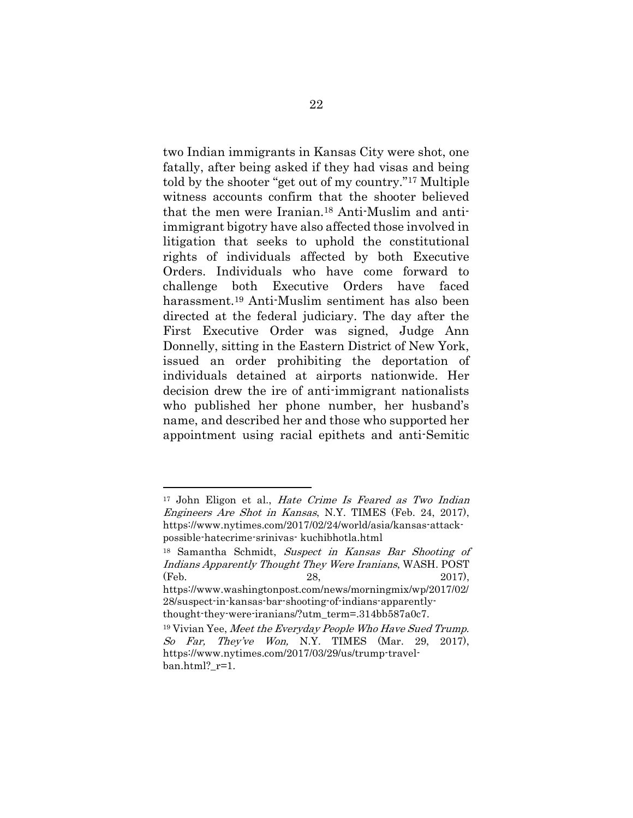two Indian immigrants in Kansas City were shot, one fatally, after being asked if they had visas and being told by the shooter "get out of my country."17 Multiple witness accounts confirm that the shooter believed that the men were Iranian.18 Anti-Muslim and antiimmigrant bigotry have also affected those involved in litigation that seeks to uphold the constitutional rights of individuals affected by both Executive Orders. Individuals who have come forward to challenge both Executive Orders have faced harassment.19 Anti-Muslim sentiment has also been directed at the federal judiciary. The day after the First Executive Order was signed, Judge Ann Donnelly, sitting in the Eastern District of New York, issued an order prohibiting the deportation of individuals detained at airports nationwide. Her decision drew the ire of anti-immigrant nationalists who published her phone number, her husband's name, and described her and those who supported her appointment using racial epithets and anti-Semitic

 $\overline{a}$ 

<sup>&</sup>lt;sup>17</sup> John Eligon et al., *Hate Crime Is Feared as Two Indian* Engineers Are Shot in Kansas, N.Y. TIMES (Feb. 24, 2017), https://www.nytimes.com/2017/02/24/world/asia/kansas-attackpossible-hatecrime-srinivas- kuchibhotla.html

<sup>18</sup> Samantha Schmidt, Suspect in Kansas Bar Shooting of Indians Apparently Thought They Were Iranians, WASH. POST (Feb. 28, 2017),

https://www.washingtonpost.com/news/morningmix/wp/2017/02/ 28/suspect-in-kansas-bar-shooting-of-indians-apparentlythought-they-were-iranians/?utm\_term=.314bb587a0c7.

 $19$  Vivian Yee, Meet the Everyday People Who Have Sued Trump. So Far, They've Won, N.Y. TIMES (Mar. 29, 2017), https://www.nytimes.com/2017/03/29/us/trump-travelban.html? r=1.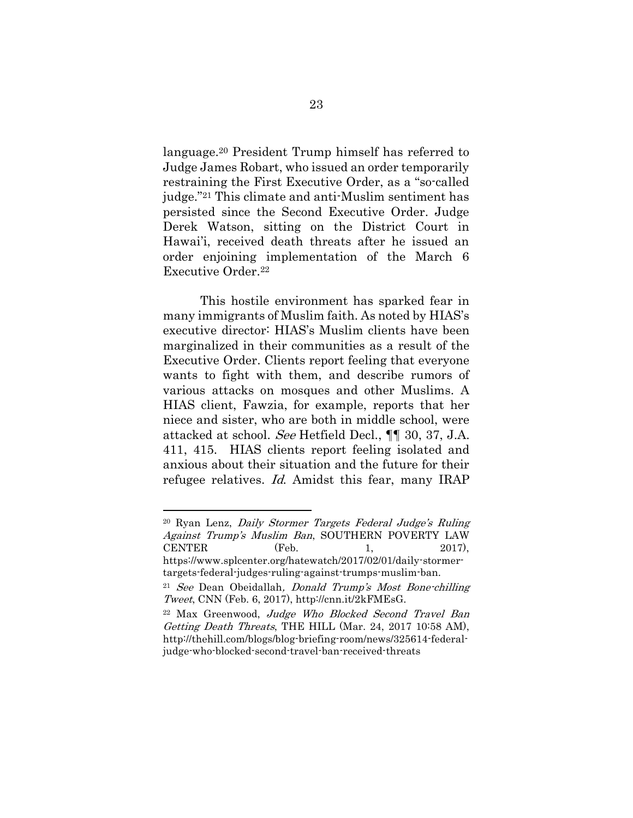language.20 President Trump himself has referred to Judge James Robart, who issued an order temporarily restraining the First Executive Order, as a "so-called judge."21 This climate and anti-Muslim sentiment has persisted since the Second Executive Order. Judge Derek Watson, sitting on the District Court in Hawai'i, received death threats after he issued an order enjoining implementation of the March 6 Executive Order.<sup>22</sup>

This hostile environment has sparked fear in many immigrants of Muslim faith. As noted by HIAS's executive director: HIAS's Muslim clients have been marginalized in their communities as a result of the Executive Order. Clients report feeling that everyone wants to fight with them, and describe rumors of various attacks on mosques and other Muslims. A HIAS client, Fawzia, for example, reports that her niece and sister, who are both in middle school, were attacked at school. See Hetfield Decl., ¶¶ 30, 37, J.A. 411, 415. HIAS clients report feeling isolated and anxious about their situation and the future for their refugee relatives. Id. Amidst this fear, many IRAP

<sup>20</sup> Ryan Lenz, Daily Stormer Targets Federal Judge's Ruling Against Trump's Muslim Ban, SOUTHERN POVERTY LAW CENTER (Feb. 1, 2017), https://www.splcenter.org/hatewatch/2017/02/01/daily-stormertargets-federal-judges-ruling-against-trumps-muslim-ban.

<sup>21</sup> See Dean Obeidallah, Donald Trump's Most Bone-chilling Tweet, CNN (Feb. 6, 2017), http://cnn.it/2kFMEsG.

<sup>22</sup> Max Greenwood, Judge Who Blocked Second Travel Ban Getting Death Threats, THE HILL (Mar. 24, 2017 10:58 AM), http://thehill.com/blogs/blog-briefing-room/news/325614-federaljudge-who-blocked-second-travel-ban-received-threats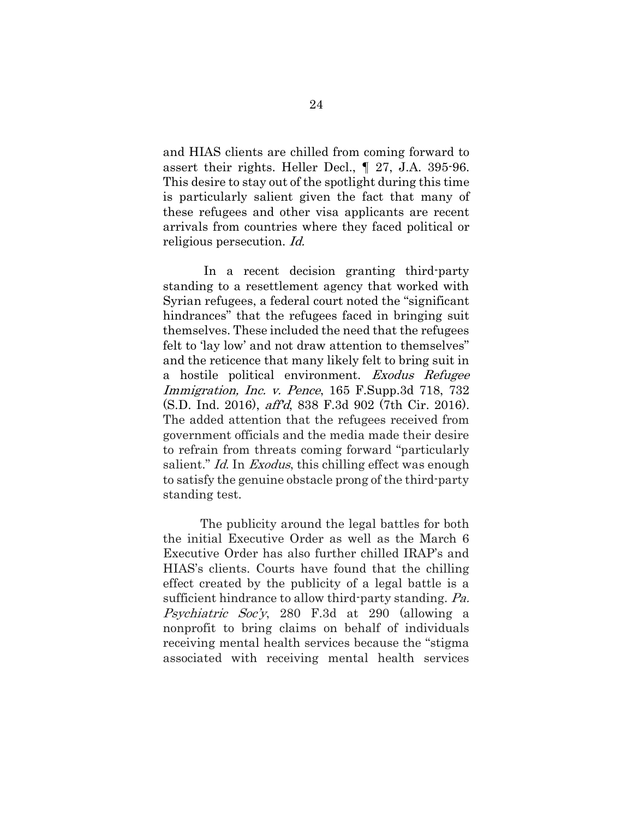and HIAS clients are chilled from coming forward to assert their rights. Heller Decl., ¶ 27, J.A. 395-96. This desire to stay out of the spotlight during this time is particularly salient given the fact that many of these refugees and other visa applicants are recent arrivals from countries where they faced political or religious persecution. Id.

In a recent decision granting third-party standing to a resettlement agency that worked with Syrian refugees, a federal court noted the "significant hindrances" that the refugees faced in bringing suit themselves. These included the need that the refugees felt to 'lay low' and not draw attention to themselves" and the reticence that many likely felt to bring suit in a hostile political environment. Exodus Refugee Immigration, Inc. v. Pence, 165 F.Supp.3d 718, 732 (S.D. Ind. 2016), aff'd, 838 F.3d 902 (7th Cir. 2016). The added attention that the refugees received from government officials and the media made their desire to refrain from threats coming forward "particularly salient." Id. In Exodus, this chilling effect was enough to satisfy the genuine obstacle prong of the third-party standing test.

The publicity around the legal battles for both the initial Executive Order as well as the March 6 Executive Order has also further chilled IRAP's and HIAS's clients. Courts have found that the chilling effect created by the publicity of a legal battle is a sufficient hindrance to allow third-party standing. Pa. Psychiatric Soc'y, 280 F.3d at 290 (allowing a nonprofit to bring claims on behalf of individuals receiving mental health services because the "stigma associated with receiving mental health services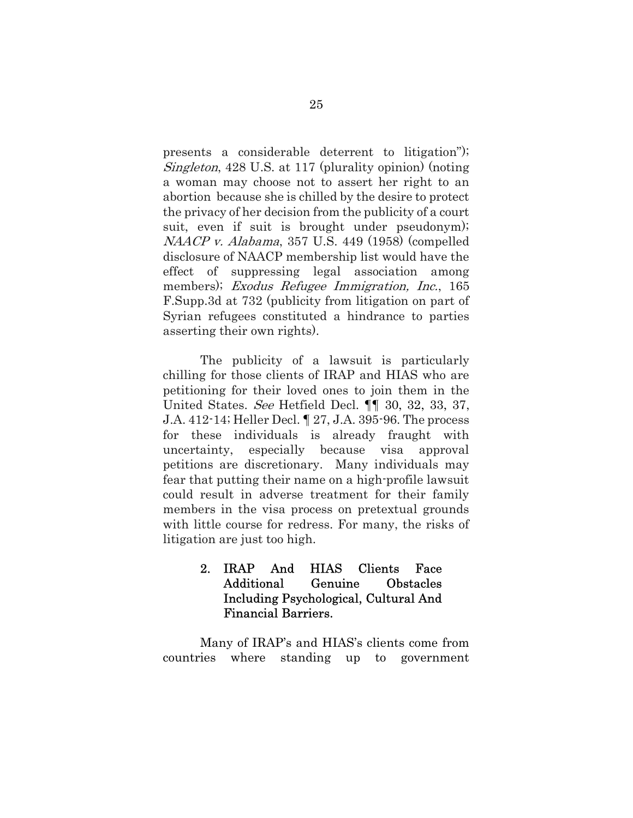presents a considerable deterrent to litigation"); Singleton, 428 U.S. at 117 (plurality opinion) (noting a woman may choose not to assert her right to an abortion because she is chilled by the desire to protect the privacy of her decision from the publicity of a court suit, even if suit is brought under pseudonym); NAACP v. Alabama, 357 U.S. 449 (1958) (compelled disclosure of NAACP membership list would have the effect of suppressing legal association among members); *Exodus Refugee Immigration*, *Inc.*, 165 F.Supp.3d at 732 (publicity from litigation on part of Syrian refugees constituted a hindrance to parties asserting their own rights).

The publicity of a lawsuit is particularly chilling for those clients of IRAP and HIAS who are petitioning for their loved ones to join them in the United States. See Hetfield Decl. ¶¶ 30, 32, 33, 37, J.A. 412-14; Heller Decl. ¶ 27, J.A. 395-96. The process for these individuals is already fraught with uncertainty, especially because visa approval petitions are discretionary. Many individuals may fear that putting their name on a high-profile lawsuit could result in adverse treatment for their family members in the visa process on pretextual grounds with little course for redress. For many, the risks of litigation are just too high.

### 2. IRAP And HIAS Clients Face Additional Genuine Obstacles Including Psychological, Cultural And Financial Barriers.

Many of IRAP's and HIAS's clients come from countries where standing up to government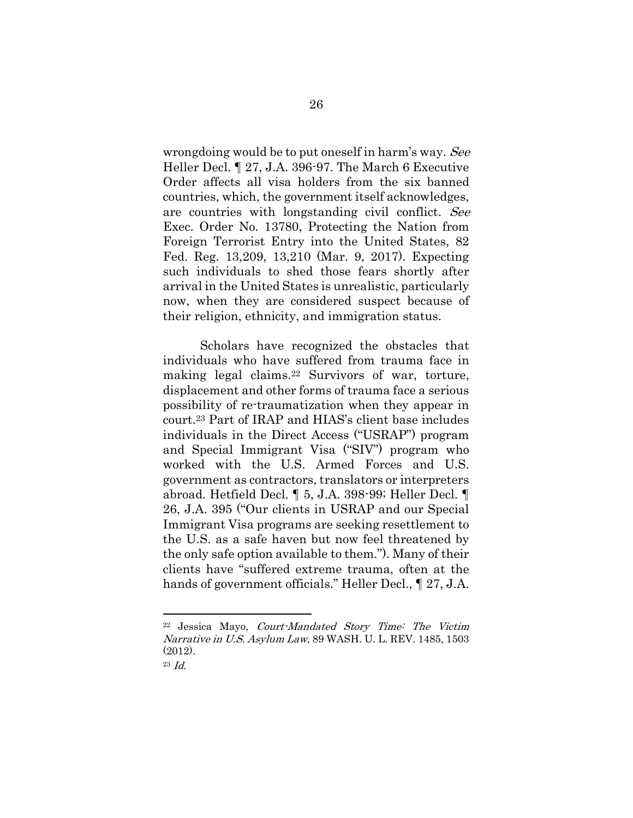wrongdoing would be to put oneself in harm's way. See Heller Decl. ¶ 27, J.A. 396-97. The March 6 Executive Order affects all visa holders from the six banned countries, which, the government itself acknowledges, are countries with longstanding civil conflict. See Exec. Order No. 13780, Protecting the Nation from Foreign Terrorist Entry into the United States, 82 Fed. Reg. 13,209, 13,210 (Mar. 9, 2017). Expecting such individuals to shed those fears shortly after arrival in the United States is unrealistic, particularly now, when they are considered suspect because of their religion, ethnicity, and immigration status.

Scholars have recognized the obstacles that individuals who have suffered from trauma face in making legal claims.22 Survivors of war, torture, displacement and other forms of trauma face a serious possibility of re-traumatization when they appear in court.23 Part of IRAP and HIAS's client base includes individuals in the Direct Access ("USRAP") program and Special Immigrant Visa ("SIV") program who worked with the U.S. Armed Forces and U.S. government as contractors, translators or interpreters abroad. Hetfield Decl. ¶ 5, J.A. 398-99; Heller Decl. ¶ 26, J.A. 395 ("Our clients in USRAP and our Special Immigrant Visa programs are seeking resettlement to the U.S. as a safe haven but now feel threatened by the only safe option available to them."). Many of their clients have "suffered extreme trauma, often at the hands of government officials." Heller Decl., ¶ 27, J.A.

<sup>22</sup> Jessica Mayo, Court-Mandated Story Time: The Victim Narrative in U.S. Asylum Law, 89 WASH. U. L. REV. 1485, 1503 (2012).

<sup>23</sup> Id.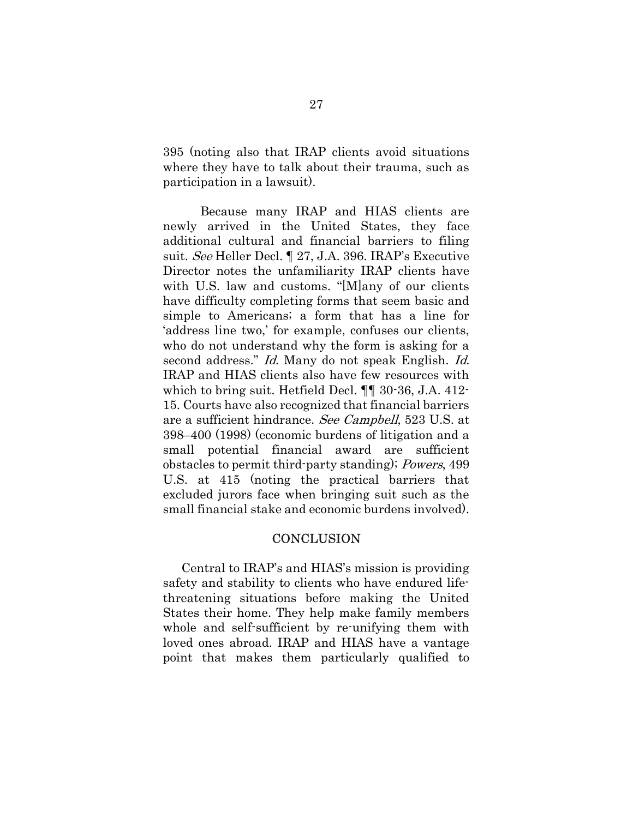395 (noting also that IRAP clients avoid situations where they have to talk about their trauma, such as participation in a lawsuit).

Because many IRAP and HIAS clients are newly arrived in the United States, they face additional cultural and financial barriers to filing suit. See Heller Decl. ¶ 27, J.A. 396. IRAP's Executive Director notes the unfamiliarity IRAP clients have with U.S. law and customs. "[M]any of our clients have difficulty completing forms that seem basic and simple to Americans; a form that has a line for 'address line two,' for example, confuses our clients, who do not understand why the form is asking for a second address." Id. Many do not speak English. Id. IRAP and HIAS clients also have few resources with which to bring suit. Hetfield Decl. ¶¶ 30-36, J.A. 412- 15. Courts have also recognized that financial barriers are a sufficient hindrance. See Campbell, 523 U.S. at 398–400 (1998) (economic burdens of litigation and a small potential financial award are sufficient obstacles to permit third-party standing); Powers, 499 U.S. at 415 (noting the practical barriers that excluded jurors face when bringing suit such as the small financial stake and economic burdens involved).

#### **CONCLUSION**

Central to IRAP's and HIAS's mission is providing safety and stability to clients who have endured lifethreatening situations before making the United States their home. They help make family members whole and self-sufficient by re-unifying them with loved ones abroad. IRAP and HIAS have a vantage point that makes them particularly qualified to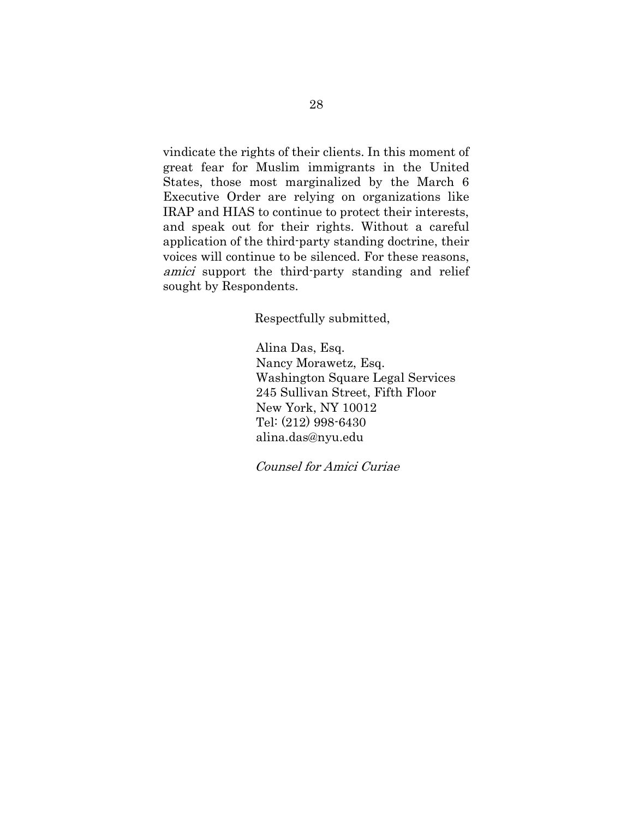vindicate the rights of their clients. In this moment of great fear for Muslim immigrants in the United States, those most marginalized by the March 6 Executive Order are relying on organizations like IRAP and HIAS to continue to protect their interests, and speak out for their rights. Without a careful application of the third-party standing doctrine, their voices will continue to be silenced. For these reasons, amici support the third-party standing and relief sought by Respondents.

Respectfully submitted,

Alina Das, Esq. Nancy Morawetz, Esq. Washington Square Legal Services 245 Sullivan Street, Fifth Floor New York, NY 10012 Tel: (212) 998-6430 alina.das@nyu.edu

Counsel for Amici Curiae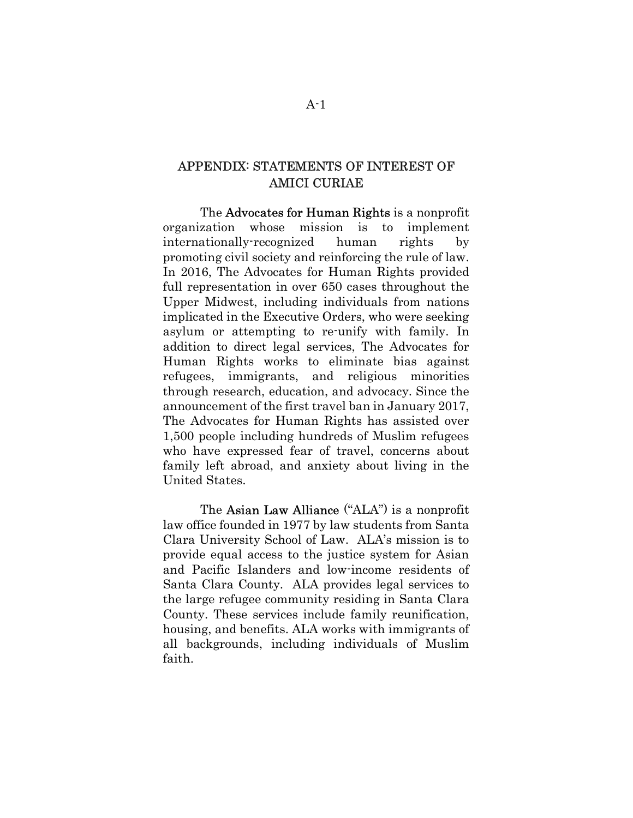### APPENDIX: STATEMENTS OF INTEREST OF AMICI CURIAE

The **Advocates for Human Rights** is a nonprofit organization whose mission is to implement internationally-recognized human rights by promoting civil society and reinforcing the rule of law. In 2016, The Advocates for Human Rights provided full representation in over 650 cases throughout the Upper Midwest, including individuals from nations implicated in the Executive Orders, who were seeking asylum or attempting to re-unify with family. In addition to direct legal services, The Advocates for Human Rights works to eliminate bias against refugees, immigrants, and religious minorities through research, education, and advocacy. Since the announcement of the first travel ban in January 2017, The Advocates for Human Rights has assisted over 1,500 people including hundreds of Muslim refugees who have expressed fear of travel, concerns about family left abroad, and anxiety about living in the United States.

The Asian Law Alliance ("ALA") is a nonprofit law office founded in 1977 by law students from Santa Clara University School of Law. ALA's mission is to provide equal access to the justice system for Asian and Pacific Islanders and low-income residents of Santa Clara County. ALA provides legal services to the large refugee community residing in Santa Clara County. These services include family reunification, housing, and benefits. ALA works with immigrants of all backgrounds, including individuals of Muslim faith.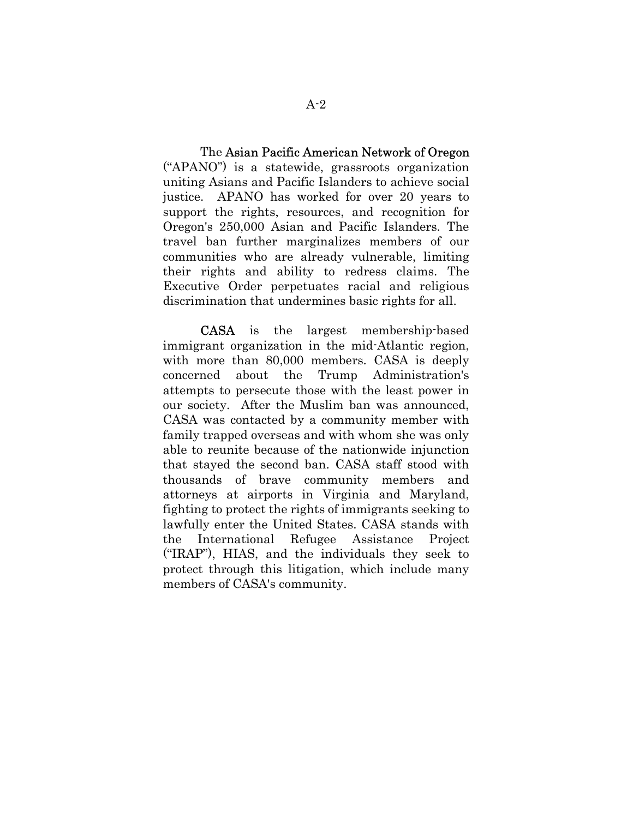The Asian Pacific American Network of Oregon ("APANO") is a statewide, grassroots organization uniting Asians and Pacific Islanders to achieve social justice. APANO has worked for over 20 years to support the rights, resources, and recognition for Oregon's 250,000 Asian and Pacific Islanders. The travel ban further marginalizes members of our communities who are already vulnerable, limiting their rights and ability to redress claims. The Executive Order perpetuates racial and religious discrimination that undermines basic rights for all.

CASA is the largest membership-based immigrant organization in the mid-Atlantic region, with more than 80,000 members. CASA is deeply concerned about the Trump Administration's attempts to persecute those with the least power in our society. After the Muslim ban was announced, CASA was contacted by a community member with family trapped overseas and with whom she was only able to reunite because of the nationwide injunction that stayed the second ban. CASA staff stood with thousands of brave community members and attorneys at airports in Virginia and Maryland, fighting to protect the rights of immigrants seeking to lawfully enter the United States. CASA stands with the International Refugee Assistance Project ("IRAP"), HIAS, and the individuals they seek to protect through this litigation, which include many members of CASA's community.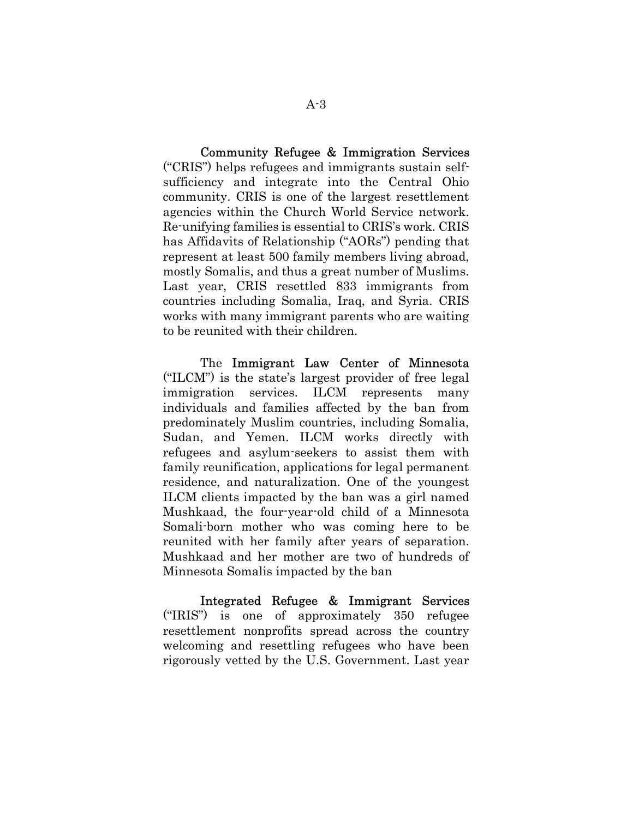Community Refugee & Immigration Services ("CRIS") helps refugees and immigrants sustain selfsufficiency and integrate into the Central Ohio community. CRIS is one of the largest resettlement agencies within the Church World Service network. Re-unifying families is essential to CRIS's work. CRIS has Affidavits of Relationship ("AORs") pending that represent at least 500 family members living abroad, mostly Somalis, and thus a great number of Muslims. Last year, CRIS resettled 833 immigrants from countries including Somalia, Iraq, and Syria. CRIS works with many immigrant parents who are waiting to be reunited with their children.

The Immigrant Law Center of Minnesota ("ILCM") is the state's largest provider of free legal immigration services. ILCM represents many individuals and families affected by the ban from predominately Muslim countries, including Somalia, Sudan, and Yemen. ILCM works directly with refugees and asylum-seekers to assist them with family reunification, applications for legal permanent residence, and naturalization. One of the youngest ILCM clients impacted by the ban was a girl named Mushkaad, the four-year-old child of a Minnesota Somali-born mother who was coming here to be reunited with her family after years of separation. Mushkaad and her mother are two of hundreds of Minnesota Somalis impacted by the ban

Integrated Refugee & Immigrant Services ("IRIS") is one of approximately 350 refugee resettlement nonprofits spread across the country welcoming and resettling refugees who have been rigorously vetted by the U.S. Government. Last year